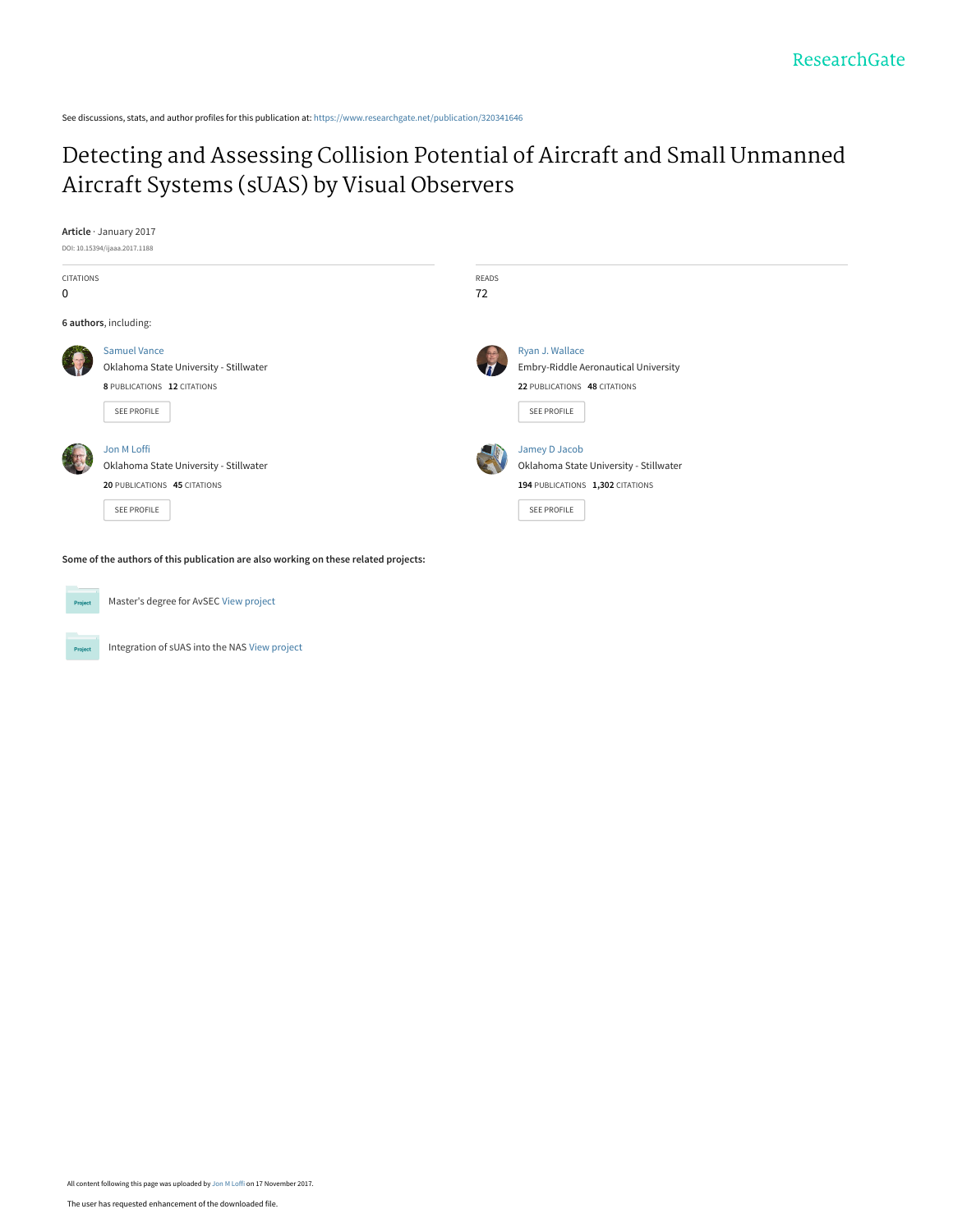See discussions, stats, and author profiles for this publication at: [https://www.researchgate.net/publication/320341646](https://www.researchgate.net/publication/320341646_Detecting_and_Assessing_Collision_Potential_of_Aircraft_and_Small_Unmanned_Aircraft_Systems_sUAS_by_Visual_Observers?enrichId=rgreq-2e5240bbf250ca23a6c4d9aea8512a0d-XXX&enrichSource=Y292ZXJQYWdlOzMyMDM0MTY0NjtBUzo1NjE3Mzc0NzgzNTY5OTJAMTUxMDk0MDA1OTc0OQ%3D%3D&el=1_x_2&_esc=publicationCoverPdf)

# [Detecting and Assessing Collision Potential of Aircraft and Small Unmanned](https://www.researchgate.net/publication/320341646_Detecting_and_Assessing_Collision_Potential_of_Aircraft_and_Small_Unmanned_Aircraft_Systems_sUAS_by_Visual_Observers?enrichId=rgreq-2e5240bbf250ca23a6c4d9aea8512a0d-XXX&enrichSource=Y292ZXJQYWdlOzMyMDM0MTY0NjtBUzo1NjE3Mzc0NzgzNTY5OTJAMTUxMDk0MDA1OTc0OQ%3D%3D&el=1_x_3&_esc=publicationCoverPdf) Aircraft Systems (sUAS) by Visual Observers

#### **Article** · January 2017



**Some of the authors of this publication are also working on these related projects:**



Project

Master's degree for AvSEC [View project](https://www.researchgate.net/project/Masters-degree-for-AvSEC?enrichId=rgreq-2e5240bbf250ca23a6c4d9aea8512a0d-XXX&enrichSource=Y292ZXJQYWdlOzMyMDM0MTY0NjtBUzo1NjE3Mzc0NzgzNTY5OTJAMTUxMDk0MDA1OTc0OQ%3D%3D&el=1_x_9&_esc=publicationCoverPdf)

Integration of sUAS into the NAS [View project](https://www.researchgate.net/project/Integration-of-sUAS-into-the-NAS?enrichId=rgreq-2e5240bbf250ca23a6c4d9aea8512a0d-XXX&enrichSource=Y292ZXJQYWdlOzMyMDM0MTY0NjtBUzo1NjE3Mzc0NzgzNTY5OTJAMTUxMDk0MDA1OTc0OQ%3D%3D&el=1_x_9&_esc=publicationCoverPdf)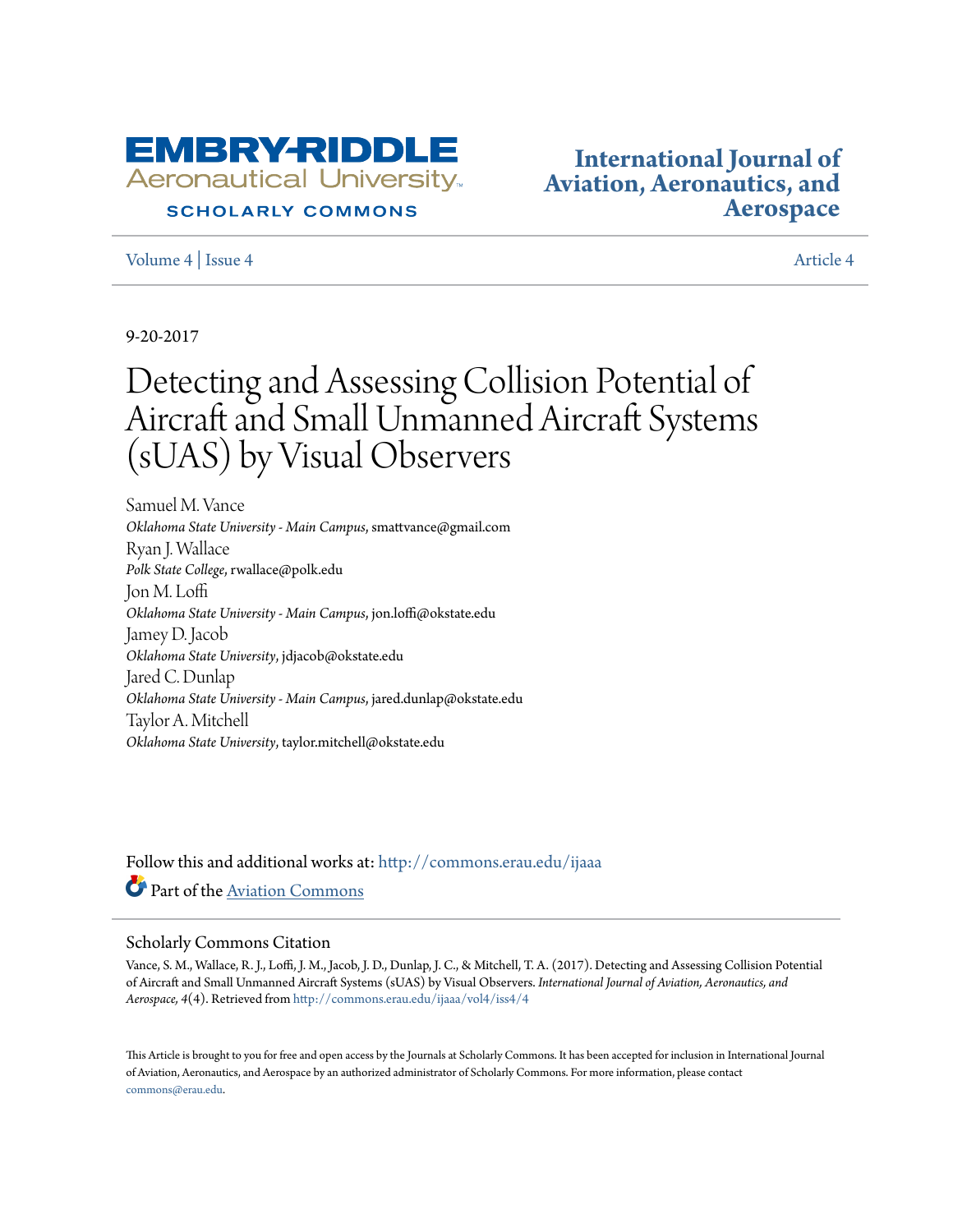

# **SCHOLARLY COMMONS**

[Volume 4](http://commons.erau.edu/ijaaa/vol4?utm_source=commons.erau.edu%2Fijaaa%2Fvol4%2Fiss4%2F4&utm_medium=PDF&utm_campaign=PDFCoverPages) | [Issue 4](http://commons.erau.edu/ijaaa/vol4/iss4?utm_source=commons.erau.edu%2Fijaaa%2Fvol4%2Fiss4%2F4&utm_medium=PDF&utm_campaign=PDFCoverPages) | Issue 4 | Issue 4 | Issue 4 | Issue 4 | Issue 4 | Issue 4 | Issue 4 | Issue 4 | Issue 4 | Issue 4 | Issue 4 | Issue 4 | Issue 4 | Issue 4 | Issue 4 | Issue 4 | Issue 4 | Issue 4 | Issue 4 | Issue 4 | I

**[International Journal of](http://commons.erau.edu/ijaaa?utm_source=commons.erau.edu%2Fijaaa%2Fvol4%2Fiss4%2F4&utm_medium=PDF&utm_campaign=PDFCoverPages) [Aviation, Aeronautics, and](http://commons.erau.edu/ijaaa?utm_source=commons.erau.edu%2Fijaaa%2Fvol4%2Fiss4%2F4&utm_medium=PDF&utm_campaign=PDFCoverPages) [Aerospace](http://commons.erau.edu/ijaaa?utm_source=commons.erau.edu%2Fijaaa%2Fvol4%2Fiss4%2F4&utm_medium=PDF&utm_campaign=PDFCoverPages)**

9-20-2017

# Detecting and Assessing Collision Potential of Aircraft and Small Unmanned Aircraft Systems (sUAS) by Visual Observers

Samuel M. Vance *Oklahoma State University - Main Campus*, smattvance@gmail.com Ryan J. Wallace *Polk State College*, rwallace@polk.edu Jon M. Loffi *Oklahoma State University - Main Campus*, jon.loffi@okstate.edu Jamey D. Jacob *Oklahoma State University*, jdjacob@okstate.edu Jared C. Dunlap *Oklahoma State University - Main Campus*, jared.dunlap@okstate.edu Taylor A. Mitchell *Oklahoma State University*, taylor.mitchell@okstate.edu

Follow this and additional works at: [http://commons.erau.edu/ijaaa](http://commons.erau.edu/ijaaa?utm_source=commons.erau.edu%2Fijaaa%2Fvol4%2Fiss4%2F4&utm_medium=PDF&utm_campaign=PDFCoverPages) Part of the [Aviation Commons](http://network.bepress.com/hgg/discipline/1297?utm_source=commons.erau.edu%2Fijaaa%2Fvol4%2Fiss4%2F4&utm_medium=PDF&utm_campaign=PDFCoverPages)

#### Scholarly Commons Citation

Vance, S. M., Wallace, R. J., Loffi, J. M., Jacob, J. D., Dunlap, J. C., & Mitchell, T. A. (2017). Detecting and Assessing Collision Potential of Aircraft and Small Unmanned Aircraft Systems (sUAS) by Visual Observers. *International Journal of Aviation, Aeronautics, and Aerospace, 4*(4). Retrieved from [http://commons.erau.edu/ijaaa/vol4/iss4/4](http://commons.erau.edu/ijaaa/vol4/iss4/4?utm_source=commons.erau.edu%2Fijaaa%2Fvol4%2Fiss4%2F4&utm_medium=PDF&utm_campaign=PDFCoverPages)

This Article is brought to you for free and open access by the Journals at Scholarly Commons. It has been accepted for inclusion in International Journal of Aviation, Aeronautics, and Aerospace by an authorized administrator of Scholarly Commons. For more information, please contact [commons@erau.edu](mailto:commons@erau.edu).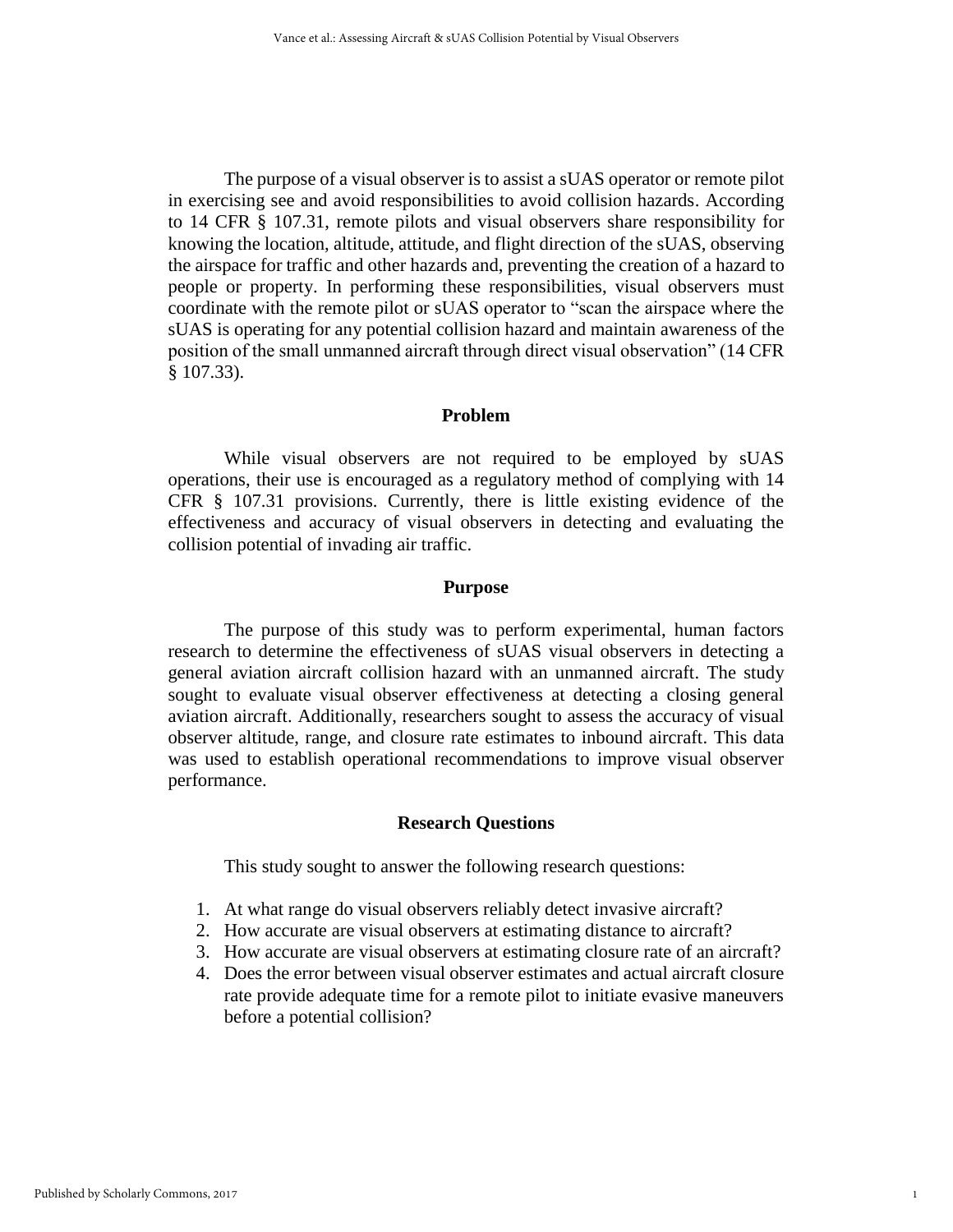The purpose of a visual observer is to assist a sUAS operator or remote pilot in exercising see and avoid responsibilities to avoid collision hazards. According to 14 CFR § 107.31, remote pilots and visual observers share responsibility for knowing the location, altitude, attitude, and flight direction of the sUAS, observing the airspace for traffic and other hazards and, preventing the creation of a hazard to people or property. In performing these responsibilities, visual observers must coordinate with the remote pilot or sUAS operator to "scan the airspace where the sUAS is operating for any potential collision hazard and maintain awareness of the position of the small unmanned aircraft through direct visual observation" (14 CFR § 107.33).

#### **Problem**

While visual observers are not required to be employed by sUAS operations, their use is encouraged as a regulatory method of complying with 14 CFR § 107.31 provisions. Currently, there is little existing evidence of the effectiveness and accuracy of visual observers in detecting and evaluating the collision potential of invading air traffic.

#### **Purpose**

The purpose of this study was to perform experimental, human factors research to determine the effectiveness of sUAS visual observers in detecting a general aviation aircraft collision hazard with an unmanned aircraft. The study sought to evaluate visual observer effectiveness at detecting a closing general aviation aircraft. Additionally, researchers sought to assess the accuracy of visual observer altitude, range, and closure rate estimates to inbound aircraft. This data was used to establish operational recommendations to improve visual observer performance.

#### **Research Questions**

This study sought to answer the following research questions:

- 1. At what range do visual observers reliably detect invasive aircraft?
- 2. How accurate are visual observers at estimating distance to aircraft?
- 3. How accurate are visual observers at estimating closure rate of an aircraft?
- 4. Does the error between visual observer estimates and actual aircraft closure rate provide adequate time for a remote pilot to initiate evasive maneuvers before a potential collision?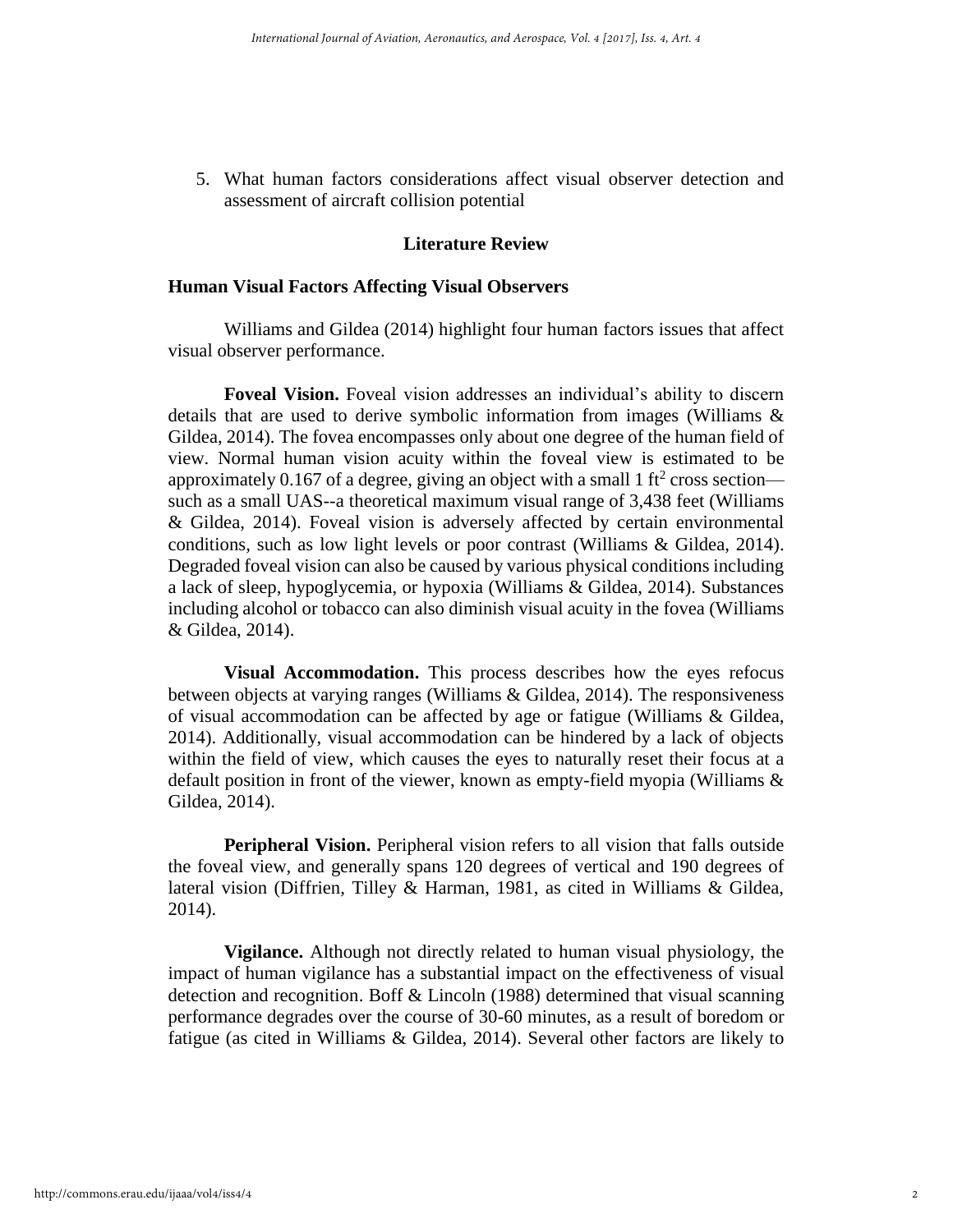5. What human factors considerations affect visual observer detection and assessment of aircraft collision potential

## **Literature Review**

#### **Human Visual Factors Affecting Visual Observers**

Williams and Gildea (2014) highlight four human factors issues that affect visual observer performance.

**Foveal Vision.** Foveal vision addresses an individual's ability to discern details that are used to derive symbolic information from images (Williams & Gildea, 2014). The fovea encompasses only about one degree of the human field of view. Normal human vision acuity within the foveal view is estimated to be approximately 0.167 of a degree, giving an object with a small 1 ft<sup>2</sup> cross section such as a small UAS--a theoretical maximum visual range of 3,438 feet (Williams & Gildea, 2014). Foveal vision is adversely affected by certain environmental conditions, such as low light levels or poor contrast (Williams & Gildea, 2014). Degraded foveal vision can also be caused by various physical conditions including a lack of sleep, hypoglycemia, or hypoxia (Williams & Gildea, 2014). Substances including alcohol or tobacco can also diminish visual acuity in the fovea (Williams & Gildea, 2014).

**Visual Accommodation.** This process describes how the eyes refocus between objects at varying ranges (Williams & Gildea, 2014). The responsiveness of visual accommodation can be affected by age or fatigue (Williams & Gildea, 2014). Additionally, visual accommodation can be hindered by a lack of objects within the field of view, which causes the eyes to naturally reset their focus at a default position in front of the viewer, known as empty-field myopia (Williams & Gildea, 2014).

**Peripheral Vision.** Peripheral vision refers to all vision that falls outside the foveal view, and generally spans 120 degrees of vertical and 190 degrees of lateral vision (Diffrien, Tilley & Harman, 1981, as cited in Williams & Gildea, 2014).

**Vigilance.** Although not directly related to human visual physiology, the impact of human vigilance has a substantial impact on the effectiveness of visual detection and recognition. Boff & Lincoln (1988) determined that visual scanning performance degrades over the course of 30-60 minutes, as a result of boredom or fatigue (as cited in Williams & Gildea, 2014). Several other factors are likely to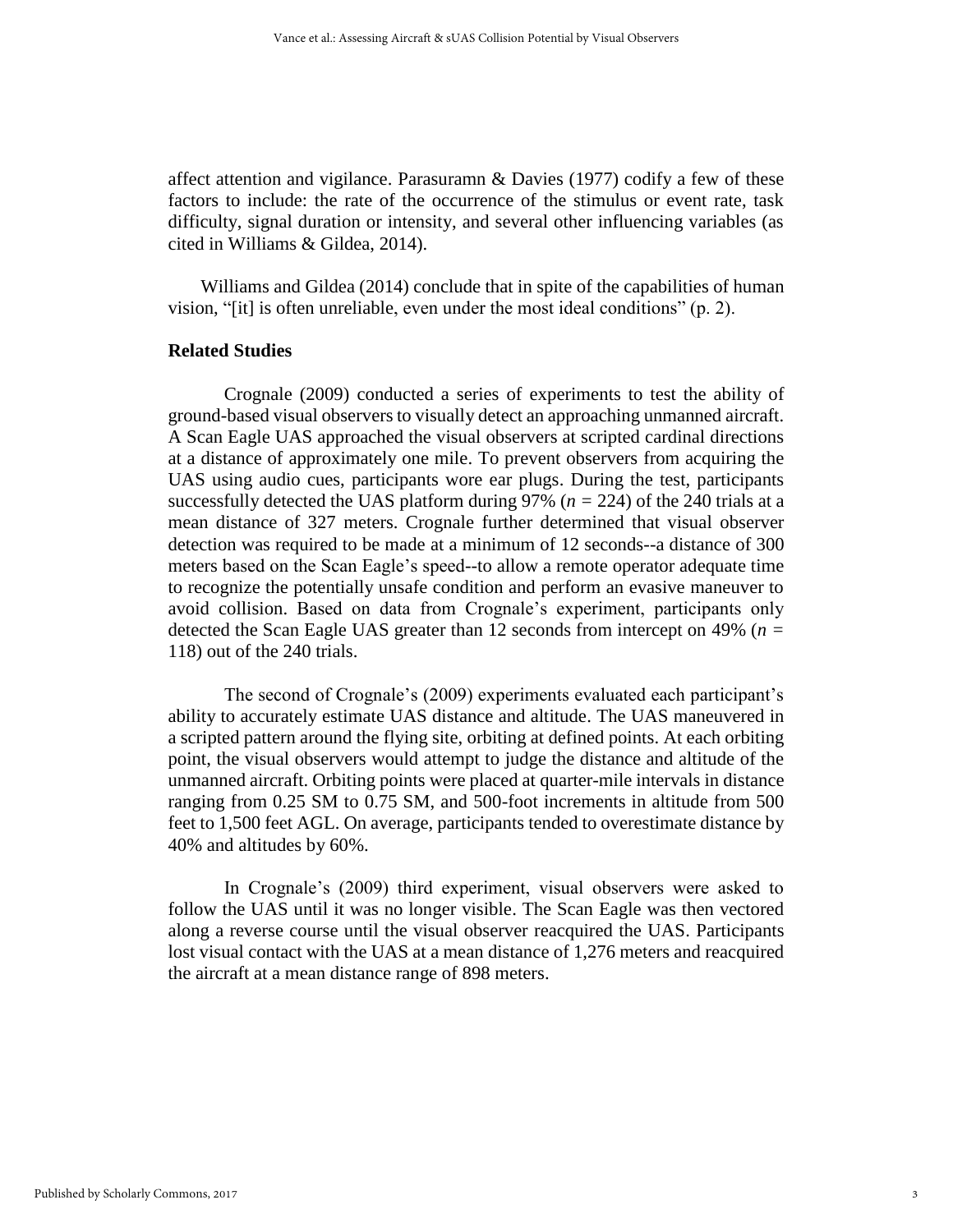affect attention and vigilance. Parasuramn & Davies (1977) codify a few of these factors to include: the rate of the occurrence of the stimulus or event rate, task difficulty, signal duration or intensity, and several other influencing variables (as cited in Williams & Gildea, 2014).

Williams and Gildea (2014) conclude that in spite of the capabilities of human vision, "[it] is often unreliable, even under the most ideal conditions" (p. 2).

# **Related Studies**

Crognale (2009) conducted a series of experiments to test the ability of ground-based visual observers to visually detect an approaching unmanned aircraft. A Scan Eagle UAS approached the visual observers at scripted cardinal directions at a distance of approximately one mile. To prevent observers from acquiring the UAS using audio cues, participants wore ear plugs. During the test, participants successfully detected the UAS platform during 97% (*n =* 224) of the 240 trials at a mean distance of 327 meters. Crognale further determined that visual observer detection was required to be made at a minimum of 12 seconds--a distance of 300 meters based on the Scan Eagle's speed--to allow a remote operator adequate time to recognize the potentially unsafe condition and perform an evasive maneuver to avoid collision. Based on data from Crognale's experiment, participants only detected the Scan Eagle UAS greater than 12 seconds from intercept on 49% (*n =*  118) out of the 240 trials.

The second of Crognale's (2009) experiments evaluated each participant's ability to accurately estimate UAS distance and altitude. The UAS maneuvered in a scripted pattern around the flying site, orbiting at defined points. At each orbiting point, the visual observers would attempt to judge the distance and altitude of the unmanned aircraft. Orbiting points were placed at quarter-mile intervals in distance ranging from 0.25 SM to 0.75 SM, and 500-foot increments in altitude from 500 feet to 1,500 feet AGL. On average, participants tended to overestimate distance by 40% and altitudes by 60%.

In Crognale's (2009) third experiment, visual observers were asked to follow the UAS until it was no longer visible. The Scan Eagle was then vectored along a reverse course until the visual observer reacquired the UAS. Participants lost visual contact with the UAS at a mean distance of 1,276 meters and reacquired the aircraft at a mean distance range of 898 meters.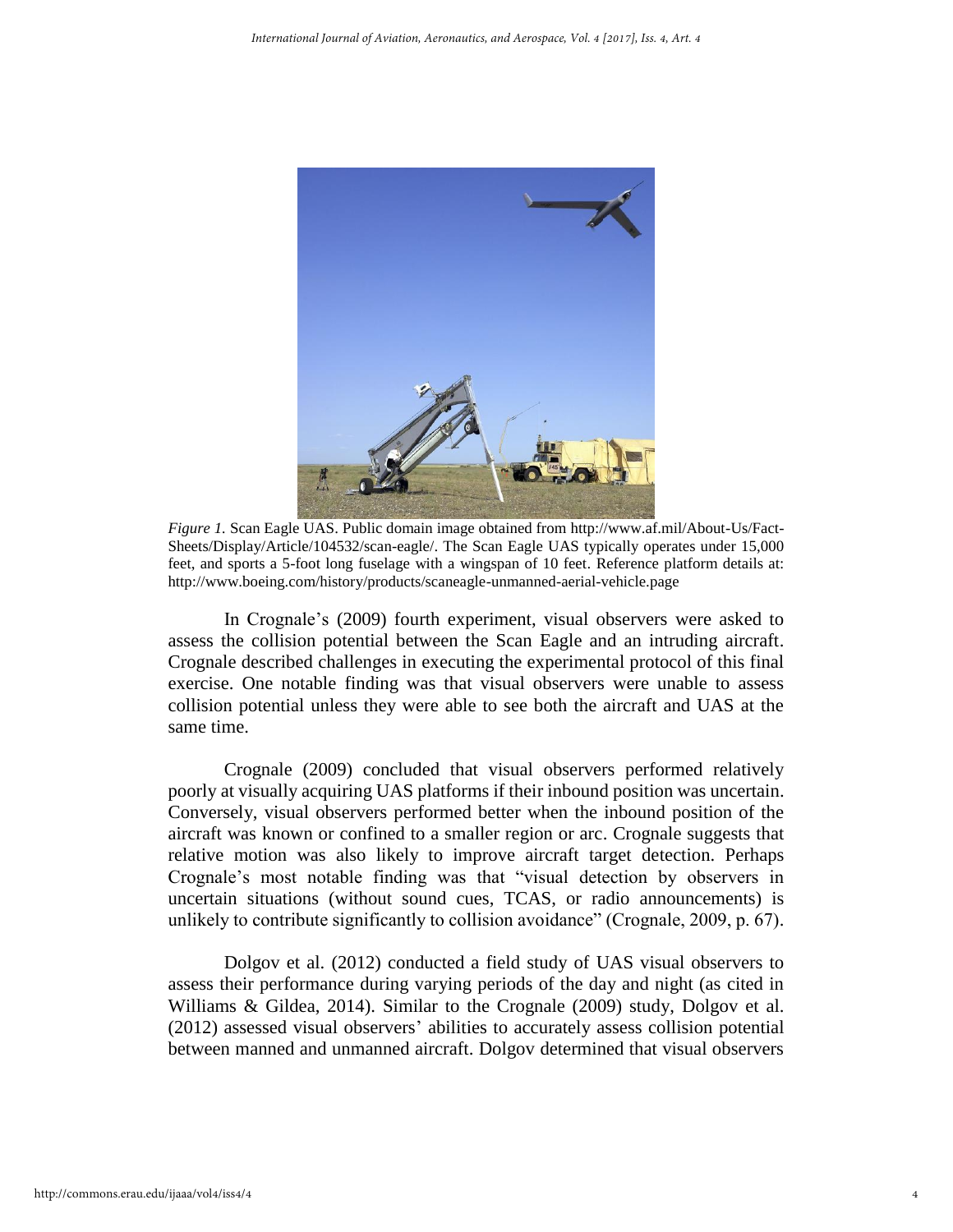

*Figure 1.* Scan Eagle UAS. Public domain image obtained from http://www.af.mil/About-Us/Fact-Sheets/Display/Article/104532/scan-eagle/. The Scan Eagle UAS typically operates under 15,000 feet, and sports a 5-foot long fuselage with a wingspan of 10 feet. Reference platform details at: http://www.boeing.com/history/products/scaneagle-unmanned-aerial-vehicle.page

In Crognale's (2009) fourth experiment, visual observers were asked to assess the collision potential between the Scan Eagle and an intruding aircraft. Crognale described challenges in executing the experimental protocol of this final exercise. One notable finding was that visual observers were unable to assess collision potential unless they were able to see both the aircraft and UAS at the same time.

Crognale (2009) concluded that visual observers performed relatively poorly at visually acquiring UAS platforms if their inbound position was uncertain. Conversely, visual observers performed better when the inbound position of the aircraft was known or confined to a smaller region or arc. Crognale suggests that relative motion was also likely to improve aircraft target detection. Perhaps Crognale's most notable finding was that "visual detection by observers in uncertain situations (without sound cues, TCAS, or radio announcements) is unlikely to contribute significantly to collision avoidance" (Crognale, 2009, p. 67).

Dolgov et al. (2012) conducted a field study of UAS visual observers to assess their performance during varying periods of the day and night (as cited in Williams & Gildea, 2014). Similar to the Crognale (2009) study, Dolgov et al. (2012) assessed visual observers' abilities to accurately assess collision potential between manned and unmanned aircraft. Dolgov determined that visual observers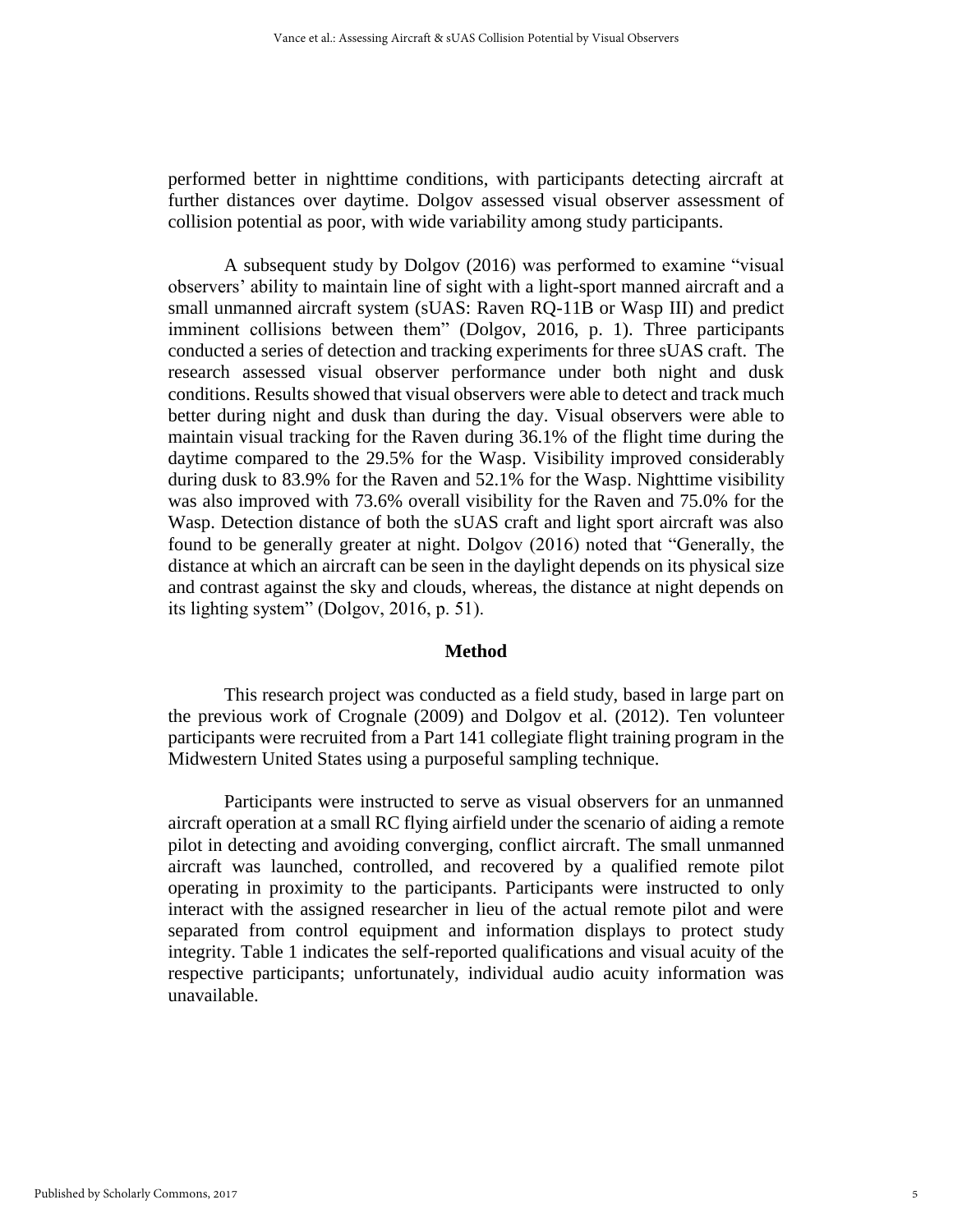performed better in nighttime conditions, with participants detecting aircraft at further distances over daytime. Dolgov assessed visual observer assessment of collision potential as poor, with wide variability among study participants.

A subsequent study by Dolgov (2016) was performed to examine "visual observers' ability to maintain line of sight with a light-sport manned aircraft and a small unmanned aircraft system (sUAS: Raven RQ-11B or Wasp III) and predict imminent collisions between them" (Dolgov, 2016, p. 1). Three participants conducted a series of detection and tracking experiments for three sUAS craft. The research assessed visual observer performance under both night and dusk conditions. Results showed that visual observers were able to detect and track much better during night and dusk than during the day. Visual observers were able to maintain visual tracking for the Raven during 36.1% of the flight time during the daytime compared to the 29.5% for the Wasp. Visibility improved considerably during dusk to 83.9% for the Raven and 52.1% for the Wasp. Nighttime visibility was also improved with 73.6% overall visibility for the Raven and 75.0% for the Wasp. Detection distance of both the sUAS craft and light sport aircraft was also found to be generally greater at night. Dolgov (2016) noted that "Generally, the distance at which an aircraft can be seen in the daylight depends on its physical size and contrast against the sky and clouds, whereas, the distance at night depends on its lighting system" (Dolgov, 2016, p. 51).

#### **Method**

This research project was conducted as a field study, based in large part on the previous work of Crognale (2009) and Dolgov et al. (2012). Ten volunteer participants were recruited from a Part 141 collegiate flight training program in the Midwestern United States using a purposeful sampling technique.

Participants were instructed to serve as visual observers for an unmanned aircraft operation at a small RC flying airfield under the scenario of aiding a remote pilot in detecting and avoiding converging, conflict aircraft. The small unmanned aircraft was launched, controlled, and recovered by a qualified remote pilot operating in proximity to the participants. Participants were instructed to only interact with the assigned researcher in lieu of the actual remote pilot and were separated from control equipment and information displays to protect study integrity. Table 1 indicates the self-reported qualifications and visual acuity of the respective participants; unfortunately, individual audio acuity information was unavailable.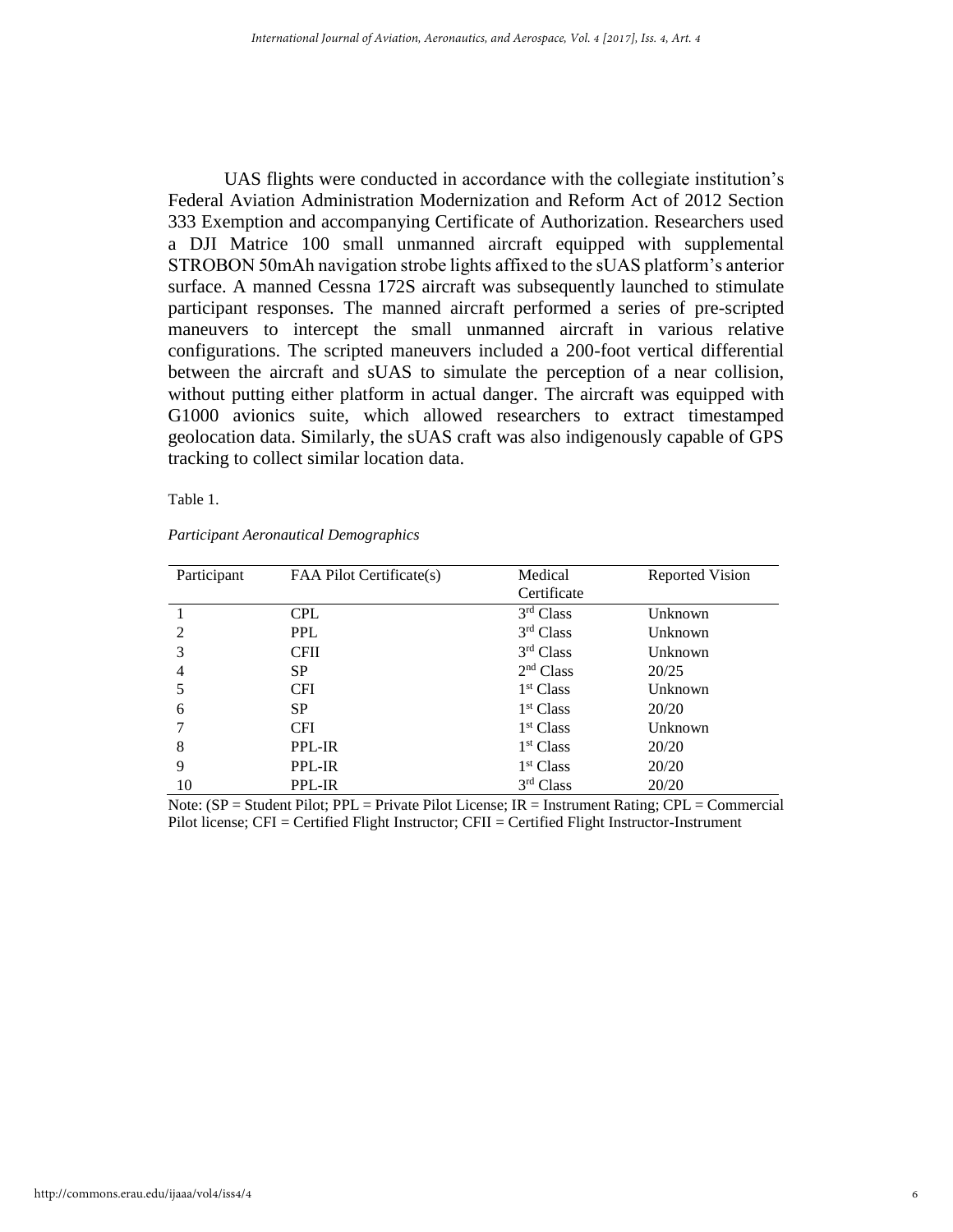UAS flights were conducted in accordance with the collegiate institution's Federal Aviation Administration Modernization and Reform Act of 2012 Section 333 Exemption and accompanying Certificate of Authorization. Researchers used a DJI Matrice 100 small unmanned aircraft equipped with supplemental STROBON 50mAh navigation strobe lights affixed to the sUAS platform's anterior surface. A manned Cessna 172S aircraft was subsequently launched to stimulate participant responses. The manned aircraft performed a series of pre-scripted maneuvers to intercept the small unmanned aircraft in various relative configurations. The scripted maneuvers included a 200-foot vertical differential between the aircraft and sUAS to simulate the perception of a near collision, without putting either platform in actual danger. The aircraft was equipped with G1000 avionics suite, which allowed researchers to extract timestamped geolocation data. Similarly, the sUAS craft was also indigenously capable of GPS tracking to collect similar location data.

Table 1.

| Participant                 | FAA Pilot Certificate(s) | Medical<br>Certificate | <b>Reported Vision</b> |
|-----------------------------|--------------------------|------------------------|------------------------|
|                             | <b>CPL</b>               | 3 <sup>rd</sup> Class  | Unknown                |
| $\mathcal{D}_{\mathcal{L}}$ | <b>PPL</b>               | 3 <sup>rd</sup> Class  | Unknown                |
| 3                           | <b>CFII</b>              | 3 <sup>rd</sup> Class  | Unknown                |
| 4                           | <b>SP</b>                | 2 <sup>nd</sup> Class  | 20/25                  |
|                             | <b>CFI</b>               | 1 <sup>st</sup> Class  | Unknown                |
| 6                           | <b>SP</b>                | 1 <sup>st</sup> Class  | 20/20                  |
|                             | <b>CFI</b>               | 1 <sup>st</sup> Class  | Unknown                |
| 8                           | PPL-IR                   | 1 <sup>st</sup> Class  | 20/20                  |
| 9                           | PPL-IR                   | 1 <sup>st</sup> Class  | 20/20                  |
| 10                          | PPL-IR                   | 3 <sup>rd</sup> Class  | 20/20                  |

#### *Participant Aeronautical Demographics*

Note: (SP = Student Pilot; PPL = Private Pilot License; IR = Instrument Rating; CPL = Commercial Pilot license; CFI = Certified Flight Instructor; CFII = Certified Flight Instructor-Instrument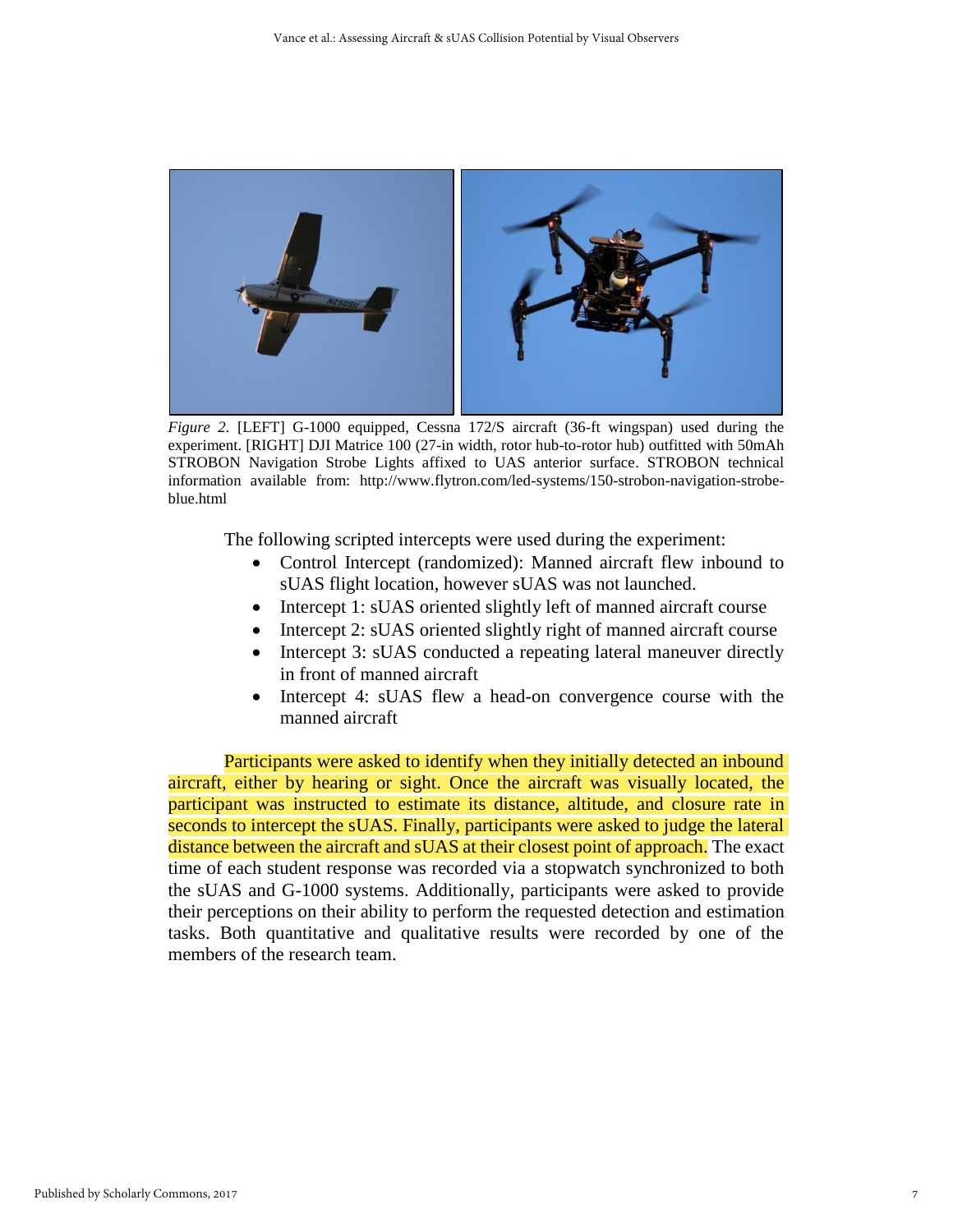

*Figure 2.* [LEFT] G-1000 equipped, Cessna 172/S aircraft (36-ft wingspan) used during the experiment. [RIGHT] DJI Matrice 100 (27-in width, rotor hub-to-rotor hub) outfitted with 50mAh STROBON Navigation Strobe Lights affixed to UAS anterior surface. STROBON technical information available from: http://www.flytron.com/led-systems/150-strobon-navigation-strobeblue.html

The following scripted intercepts were used during the experiment:

- Control Intercept (randomized): Manned aircraft flew inbound to sUAS flight location, however sUAS was not launched.
- Intercept 1: sUAS oriented slightly left of manned aircraft course
- Intercept 2: sUAS oriented slightly right of manned aircraft course
- Intercept 3: sUAS conducted a repeating lateral maneuver directly in front of manned aircraft
- Intercept 4: sUAS flew a head-on convergence course with the manned aircraft

Participants were asked to identify when they initially detected an inbound aircraft, either by hearing or sight. Once the aircraft was visually located, the participant was instructed to estimate its distance, altitude, and closure rate in seconds to intercept the sUAS. Finally, participants were asked to judge the lateral distance between the aircraft and sUAS at their closest point of approach. The exact time of each student response was recorded via a stopwatch synchronized to both the sUAS and G-1000 systems. Additionally, participants were asked to provide their perceptions on their ability to perform the requested detection and estimation tasks. Both quantitative and qualitative results were recorded by one of the members of the research team.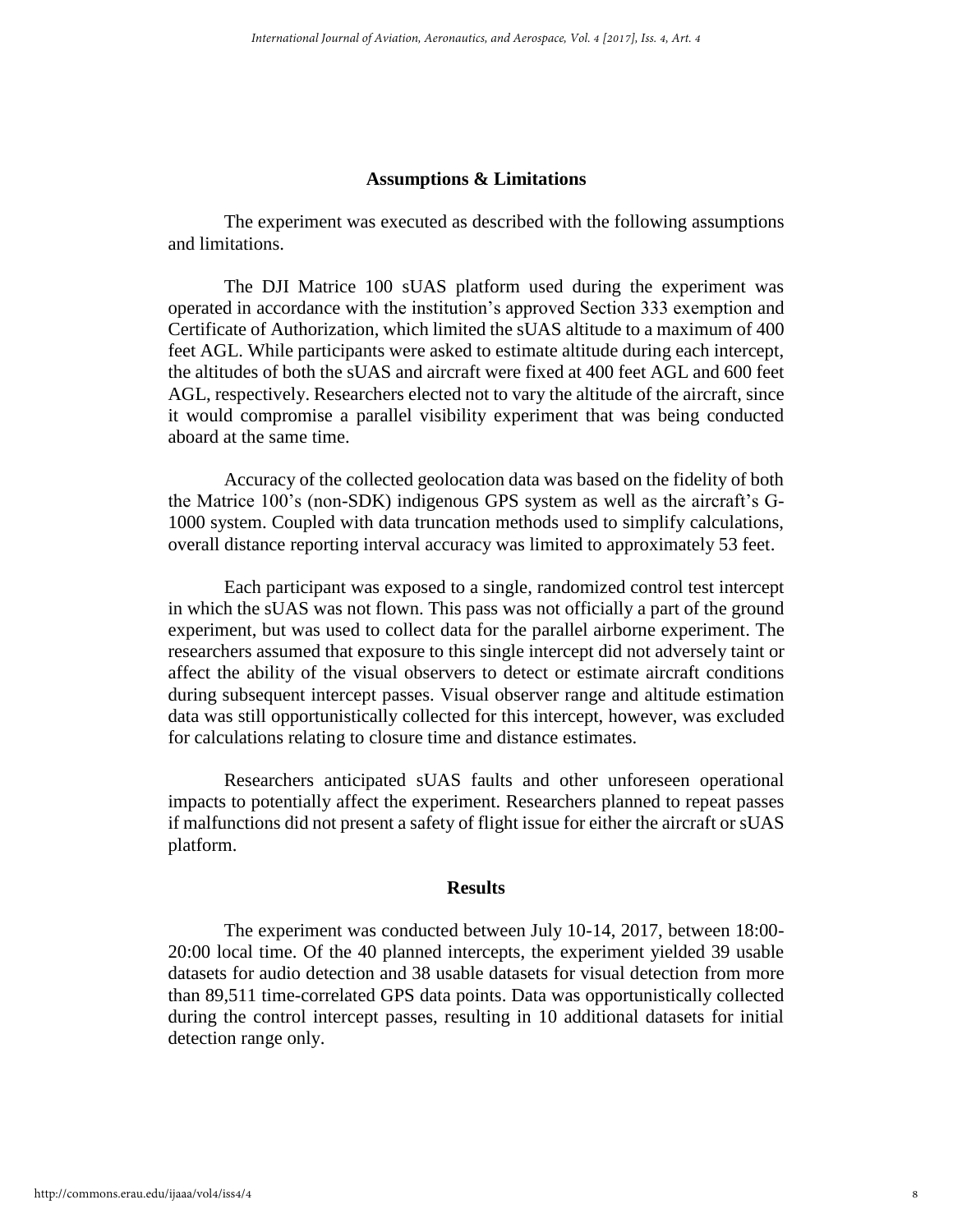#### **Assumptions & Limitations**

The experiment was executed as described with the following assumptions and limitations.

The DJI Matrice 100 sUAS platform used during the experiment was operated in accordance with the institution's approved Section 333 exemption and Certificate of Authorization, which limited the sUAS altitude to a maximum of 400 feet AGL. While participants were asked to estimate altitude during each intercept, the altitudes of both the sUAS and aircraft were fixed at 400 feet AGL and 600 feet AGL, respectively. Researchers elected not to vary the altitude of the aircraft, since it would compromise a parallel visibility experiment that was being conducted aboard at the same time.

Accuracy of the collected geolocation data was based on the fidelity of both the Matrice 100's (non-SDK) indigenous GPS system as well as the aircraft's G-1000 system. Coupled with data truncation methods used to simplify calculations, overall distance reporting interval accuracy was limited to approximately 53 feet.

Each participant was exposed to a single, randomized control test intercept in which the sUAS was not flown. This pass was not officially a part of the ground experiment, but was used to collect data for the parallel airborne experiment. The researchers assumed that exposure to this single intercept did not adversely taint or affect the ability of the visual observers to detect or estimate aircraft conditions during subsequent intercept passes. Visual observer range and altitude estimation data was still opportunistically collected for this intercept, however, was excluded for calculations relating to closure time and distance estimates.

Researchers anticipated sUAS faults and other unforeseen operational impacts to potentially affect the experiment. Researchers planned to repeat passes if malfunctions did not present a safety of flight issue for either the aircraft or sUAS platform.

#### **Results**

The experiment was conducted between July 10-14, 2017, between 18:00- 20:00 local time. Of the 40 planned intercepts, the experiment yielded 39 usable datasets for audio detection and 38 usable datasets for visual detection from more than 89,511 time-correlated GPS data points. Data was opportunistically collected during the control intercept passes, resulting in 10 additional datasets for initial detection range only.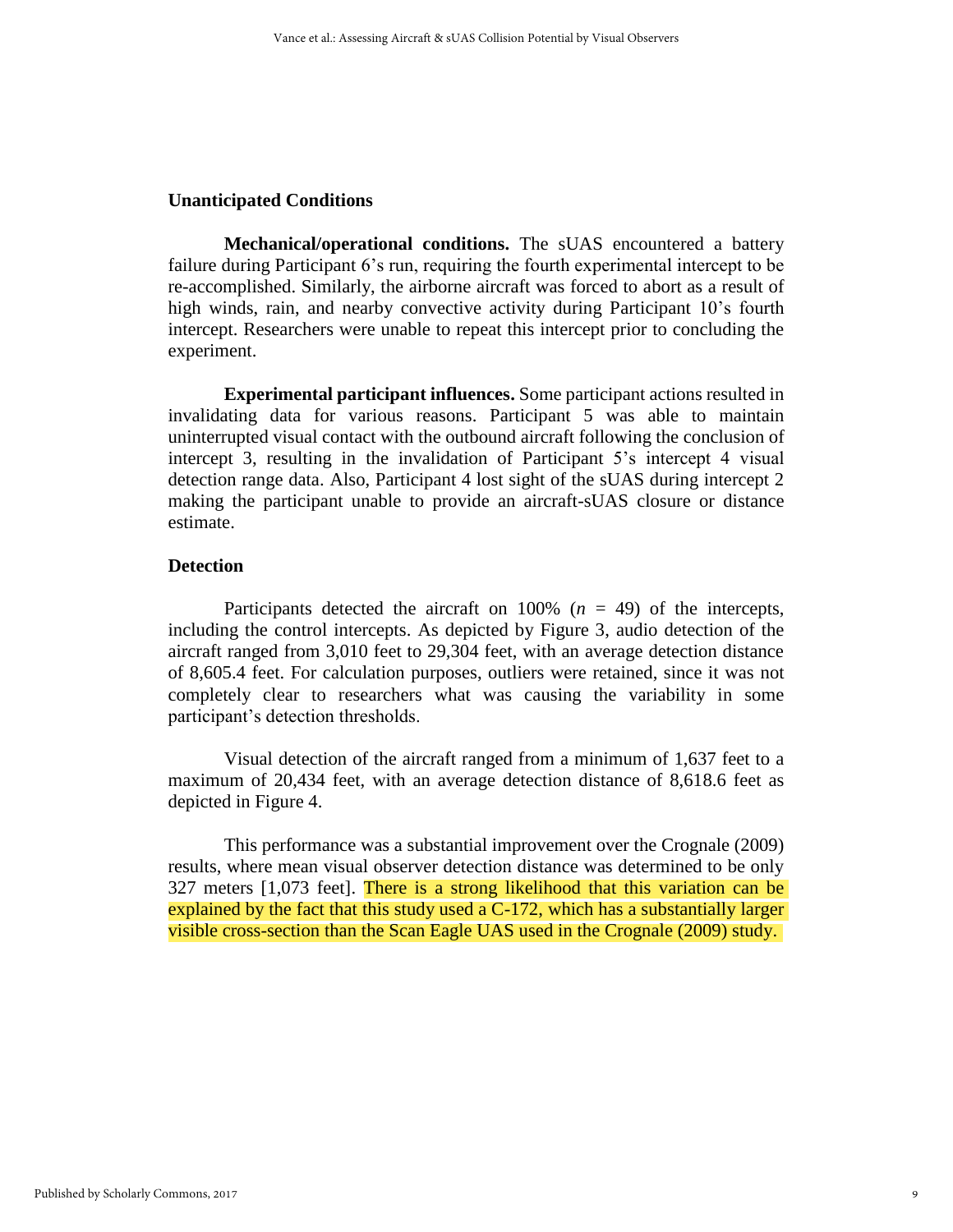### **Unanticipated Conditions**

**Mechanical/operational conditions.** The sUAS encountered a battery failure during Participant 6's run, requiring the fourth experimental intercept to be re-accomplished. Similarly, the airborne aircraft was forced to abort as a result of high winds, rain, and nearby convective activity during Participant 10's fourth intercept. Researchers were unable to repeat this intercept prior to concluding the experiment.

**Experimental participant influences.** Some participant actions resulted in invalidating data for various reasons. Participant 5 was able to maintain uninterrupted visual contact with the outbound aircraft following the conclusion of intercept 3, resulting in the invalidation of Participant 5's intercept 4 visual detection range data. Also, Participant 4 lost sight of the sUAS during intercept 2 making the participant unable to provide an aircraft-sUAS closure or distance estimate.

# **Detection**

Participants detected the aircraft on  $100\%$  ( $n = 49$ ) of the intercepts, including the control intercepts. As depicted by Figure 3, audio detection of the aircraft ranged from 3,010 feet to 29,304 feet, with an average detection distance of 8,605.4 feet. For calculation purposes, outliers were retained, since it was not completely clear to researchers what was causing the variability in some participant's detection thresholds.

Visual detection of the aircraft ranged from a minimum of 1,637 feet to a maximum of 20,434 feet, with an average detection distance of 8,618.6 feet as depicted in Figure 4.

This performance was a substantial improvement over the Crognale (2009) results, where mean visual observer detection distance was determined to be only 327 meters [1,073 feet]. There is a strong likelihood that this variation can be explained by the fact that this study used a C-172, which has a substantially larger visible cross-section than the Scan Eagle UAS used in the Crognale (2009) study.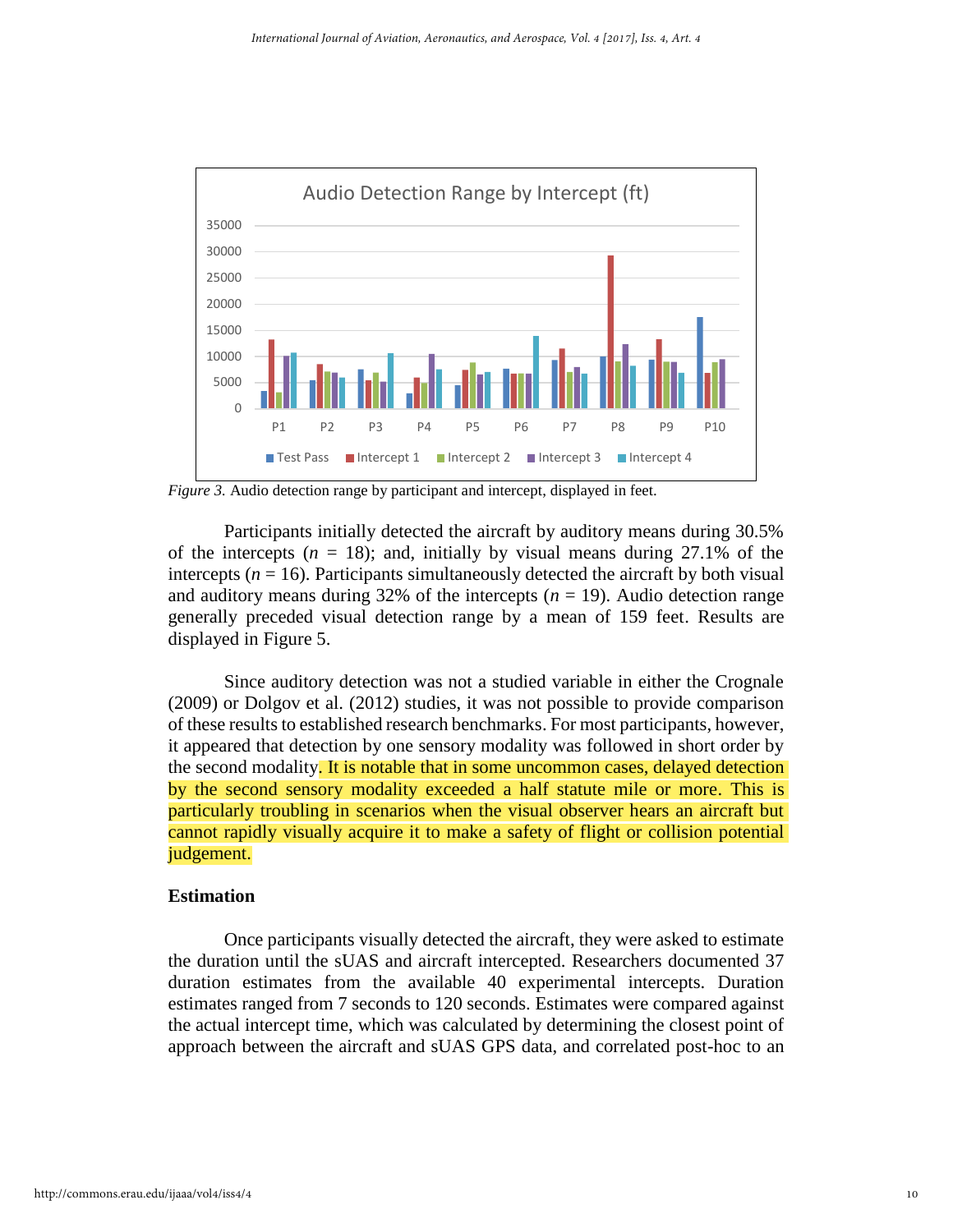

*Figure 3.* Audio detection range by participant and intercept, displayed in feet.

Participants initially detected the aircraft by auditory means during 30.5% of the intercepts  $(n = 18)$ ; and, initially by visual means during 27.1% of the intercepts  $(n = 16)$ . Participants simultaneously detected the aircraft by both visual and auditory means during 32% of the intercepts  $(n = 19)$ . Audio detection range generally preceded visual detection range by a mean of 159 feet. Results are displayed in Figure 5.

Since auditory detection was not a studied variable in either the Crognale (2009) or Dolgov et al. (2012) studies, it was not possible to provide comparison of these results to established research benchmarks. For most participants, however, it appeared that detection by one sensory modality was followed in short order by the second modality. It is notable that in some uncommon cases, delayed detection by the second sensory modality exceeded a half statute mile or more. This is particularly troubling in scenarios when the visual observer hears an aircraft but cannot rapidly visually acquire it to make a safety of flight or collision potential judgement.

#### **Estimation**

Once participants visually detected the aircraft, they were asked to estimate the duration until the sUAS and aircraft intercepted. Researchers documented 37 duration estimates from the available 40 experimental intercepts. Duration estimates ranged from 7 seconds to 120 seconds. Estimates were compared against the actual intercept time, which was calculated by determining the closest point of approach between the aircraft and sUAS GPS data, and correlated post-hoc to an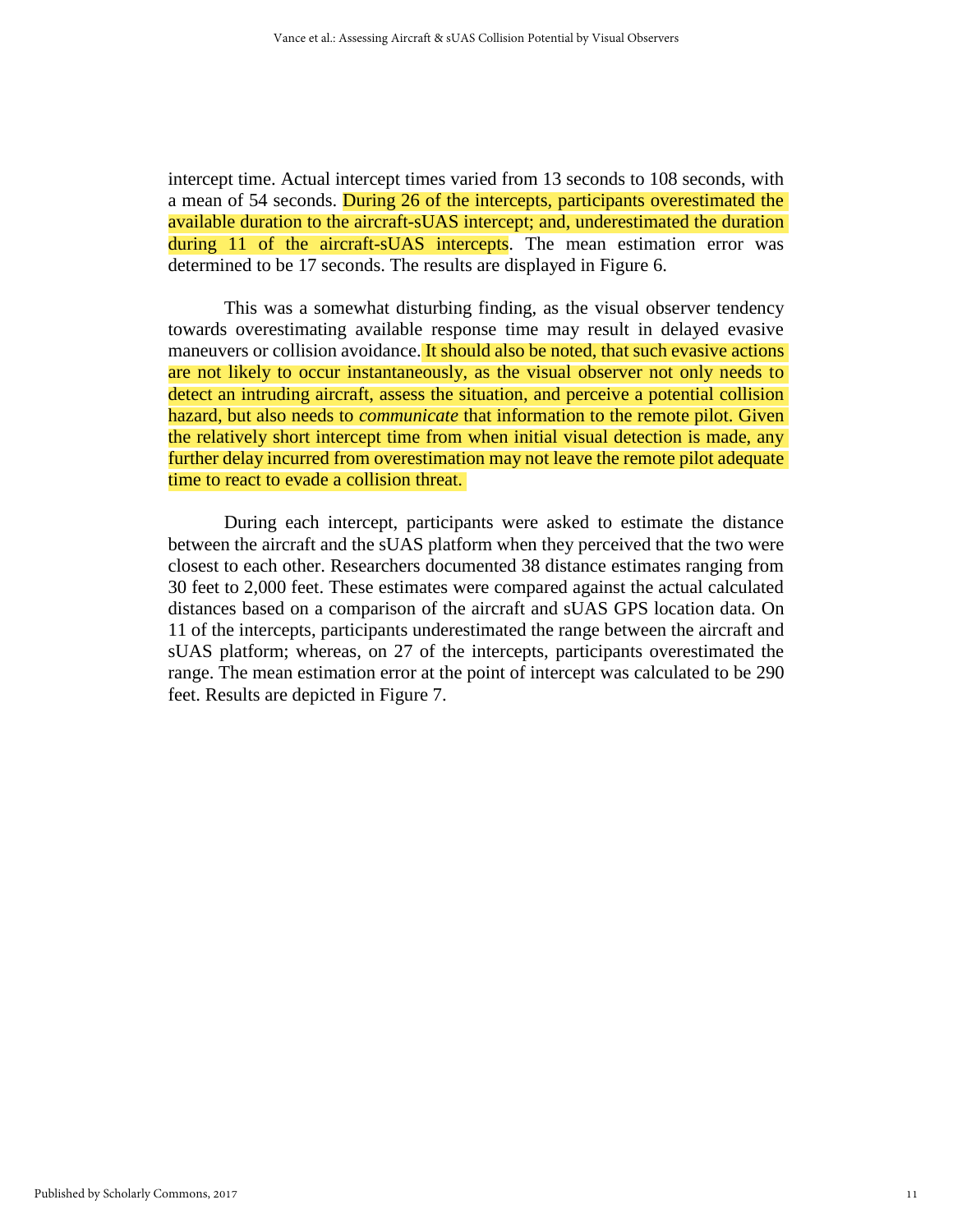intercept time. Actual intercept times varied from 13 seconds to 108 seconds, with a mean of 54 seconds. During 26 of the intercepts, participants overestimated the available duration to the aircraft-sUAS intercept; and, underestimated the duration during 11 of the aircraft-sUAS intercepts. The mean estimation error was determined to be 17 seconds. The results are displayed in Figure 6.

This was a somewhat disturbing finding, as the visual observer tendency towards overestimating available response time may result in delayed evasive maneuvers or collision avoidance. It should also be noted, that such evasive actions are not likely to occur instantaneously, as the visual observer not only needs to detect an intruding aircraft, assess the situation, and perceive a potential collision hazard, but also needs to *communicate* that information to the remote pilot. Given the relatively short intercept time from when initial visual detection is made, any further delay incurred from overestimation may not leave the remote pilot adequate time to react to evade a collision threat.

During each intercept, participants were asked to estimate the distance between the aircraft and the sUAS platform when they perceived that the two were closest to each other. Researchers documented 38 distance estimates ranging from 30 feet to 2,000 feet. These estimates were compared against the actual calculated distances based on a comparison of the aircraft and sUAS GPS location data. On 11 of the intercepts, participants underestimated the range between the aircraft and sUAS platform; whereas, on 27 of the intercepts, participants overestimated the range. The mean estimation error at the point of intercept was calculated to be 290 feet. Results are depicted in Figure 7.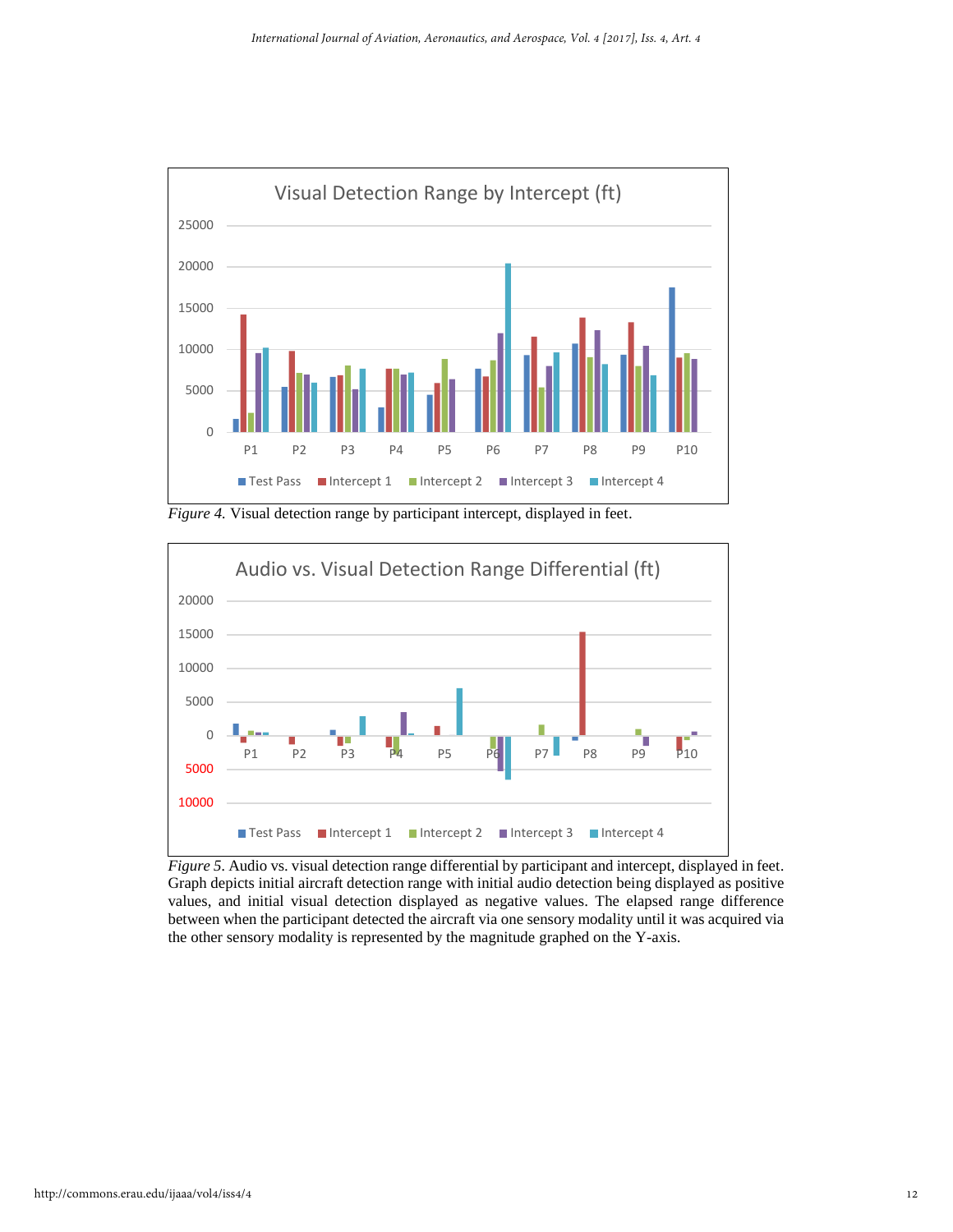

*Figure 4.* Visual detection range by participant intercept, displayed in feet.



*Figure 5.* Audio vs. visual detection range differential by participant and intercept, displayed in feet. Graph depicts initial aircraft detection range with initial audio detection being displayed as positive values, and initial visual detection displayed as negative values. The elapsed range difference between when the participant detected the aircraft via one sensory modality until it was acquired via the other sensory modality is represented by the magnitude graphed on the Y-axis.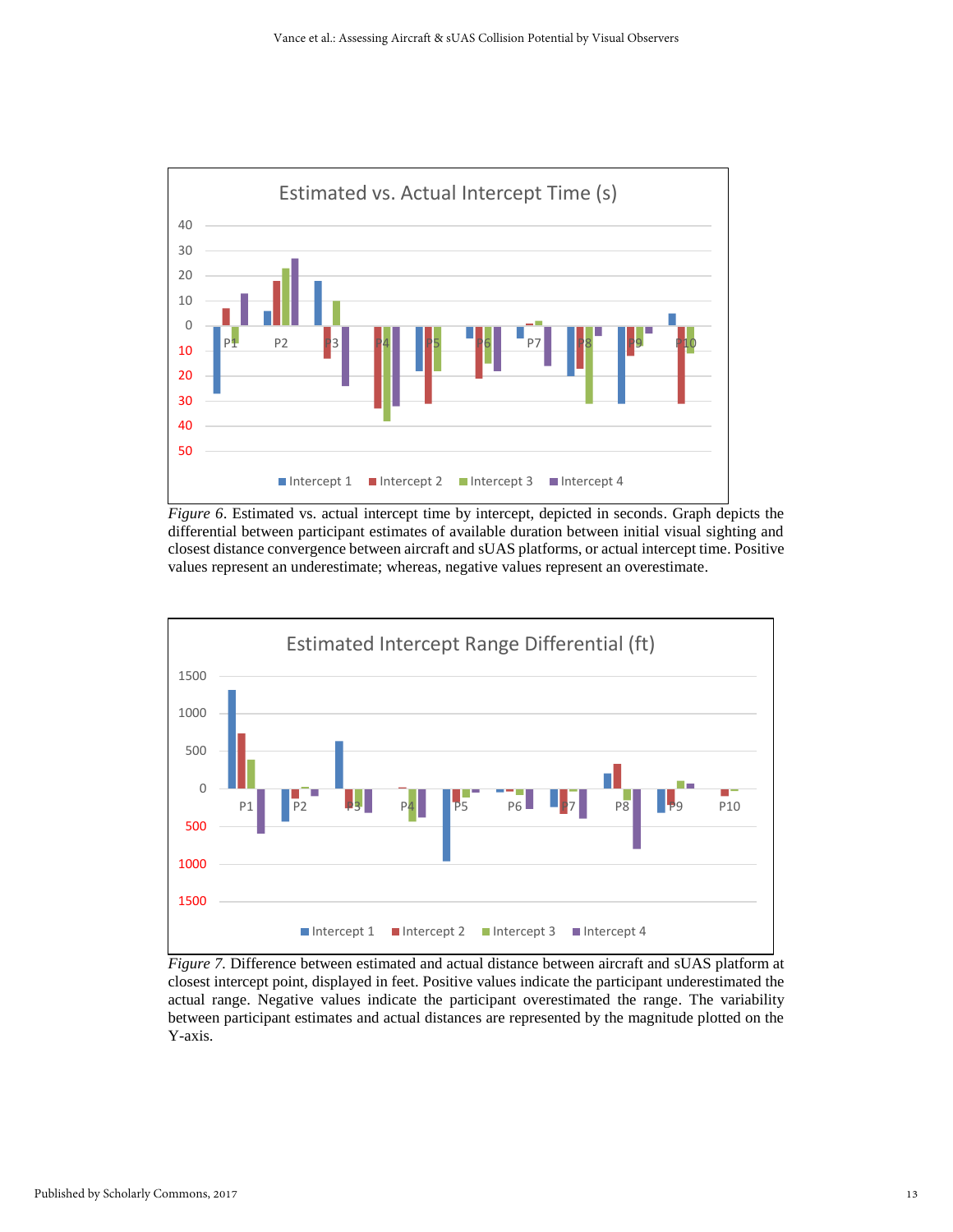

*Figure 6*. Estimated vs. actual intercept time by intercept, depicted in seconds. Graph depicts the differential between participant estimates of available duration between initial visual sighting and closest distance convergence between aircraft and sUAS platforms, or actual intercept time. Positive values represent an underestimate; whereas, negative values represent an overestimate.



*Figure 7.* Difference between estimated and actual distance between aircraft and sUAS platform at closest intercept point, displayed in feet. Positive values indicate the participant underestimated the actual range. Negative values indicate the participant overestimated the range. The variability between participant estimates and actual distances are represented by the magnitude plotted on the Y-axis.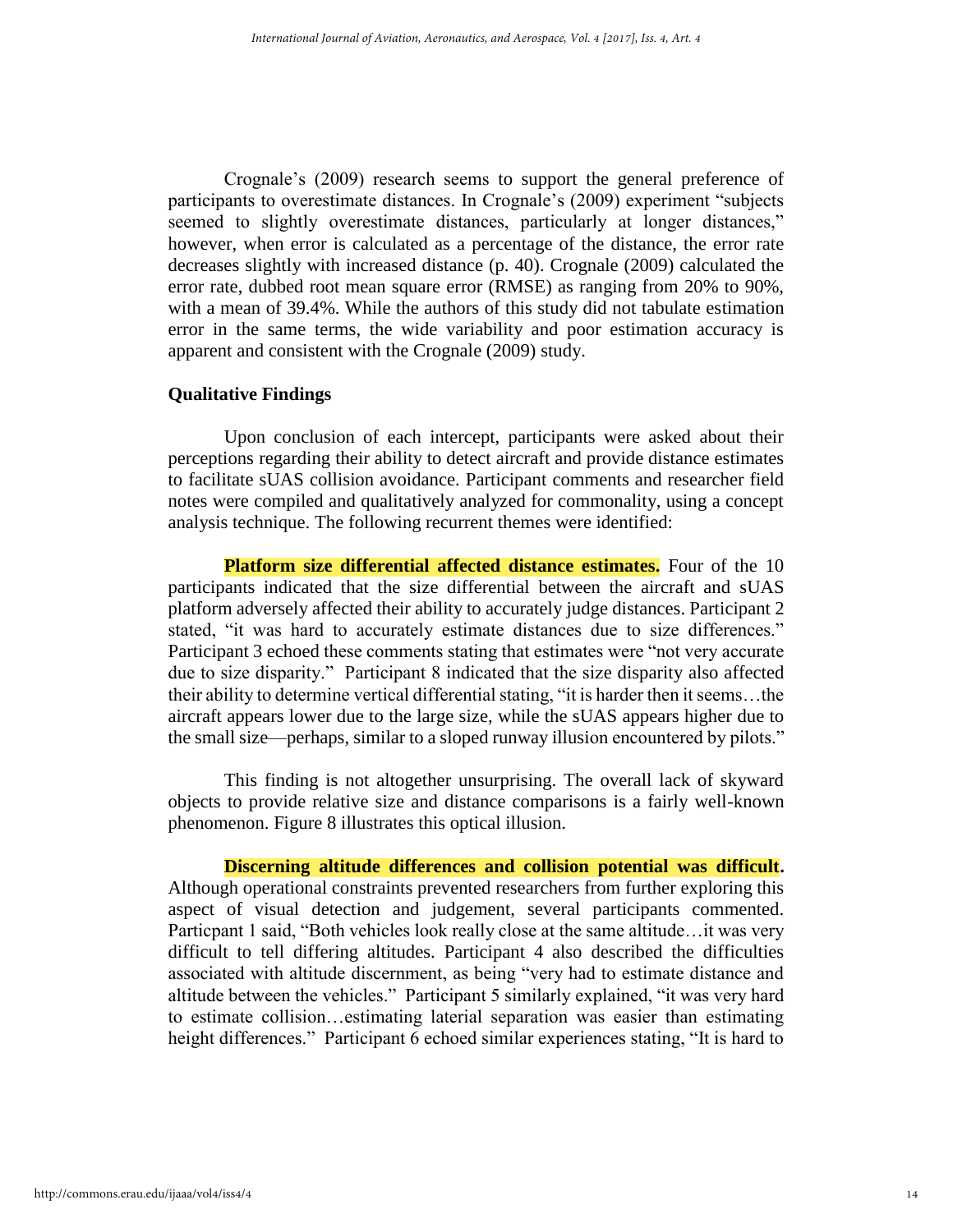Crognale's (2009) research seems to support the general preference of participants to overestimate distances. In Crognale's (2009) experiment "subjects seemed to slightly overestimate distances, particularly at longer distances," however, when error is calculated as a percentage of the distance, the error rate decreases slightly with increased distance (p. 40). Crognale (2009) calculated the error rate, dubbed root mean square error (RMSE) as ranging from 20% to 90%, with a mean of 39.4%. While the authors of this study did not tabulate estimation error in the same terms, the wide variability and poor estimation accuracy is apparent and consistent with the Crognale (2009) study.

#### **Qualitative Findings**

Upon conclusion of each intercept, participants were asked about their perceptions regarding their ability to detect aircraft and provide distance estimates to facilitate sUAS collision avoidance. Participant comments and researcher field notes were compiled and qualitatively analyzed for commonality, using a concept analysis technique. The following recurrent themes were identified:

**Platform size differential affected distance estimates.** Four of the 10 participants indicated that the size differential between the aircraft and sUAS platform adversely affected their ability to accurately judge distances. Participant 2 stated, "it was hard to accurately estimate distances due to size differences." Participant 3 echoed these comments stating that estimates were "not very accurate due to size disparity." Participant 8 indicated that the size disparity also affected their ability to determine vertical differential stating, "it is harder then it seems…the aircraft appears lower due to the large size, while the sUAS appears higher due to the small size—perhaps, similar to a sloped runway illusion encountered by pilots."

This finding is not altogether unsurprising. The overall lack of skyward objects to provide relative size and distance comparisons is a fairly well-known phenomenon. Figure 8 illustrates this optical illusion.

**Discerning altitude differences and collision potential was difficult.**  Although operational constraints prevented researchers from further exploring this aspect of visual detection and judgement, several participants commented. Particpant 1 said, "Both vehicles look really close at the same altitude…it was very difficult to tell differing altitudes. Participant 4 also described the difficulties associated with altitude discernment, as being "very had to estimate distance and altitude between the vehicles." Participant 5 similarly explained, "it was very hard to estimate collision…estimating laterial separation was easier than estimating height differences." Participant 6 echoed similar experiences stating, "It is hard to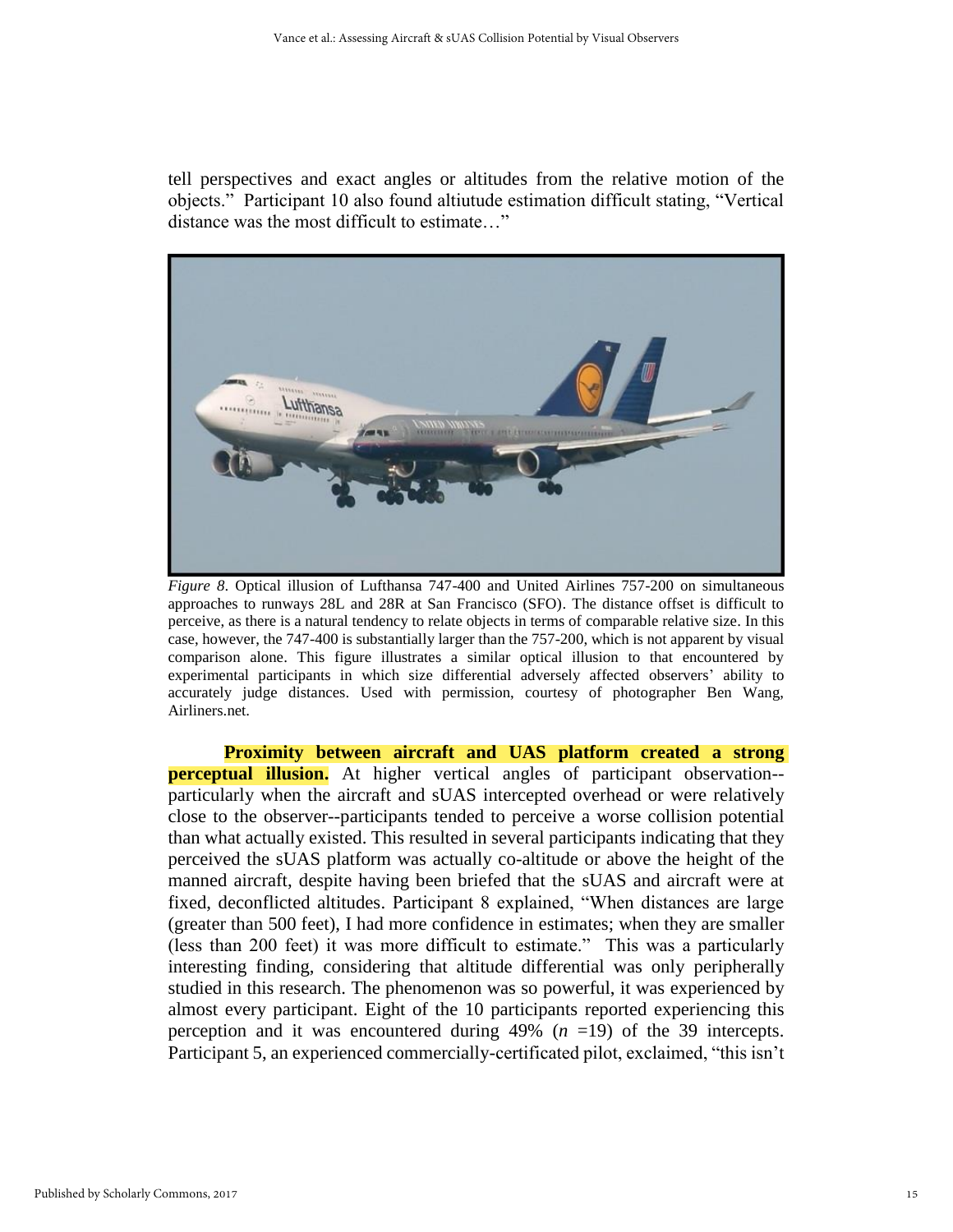tell perspectives and exact angles or altitudes from the relative motion of the objects." Participant 10 also found altiutude estimation difficult stating, "Vertical distance was the most difficult to estimate…"



*Figure 8*. Optical illusion of Lufthansa 747-400 and United Airlines 757-200 on simultaneous approaches to runways 28L and 28R at San Francisco (SFO). The distance offset is difficult to perceive, as there is a natural tendency to relate objects in terms of comparable relative size. In this case, however, the 747-400 is substantially larger than the 757-200, which is not apparent by visual comparison alone. This figure illustrates a similar optical illusion to that encountered by experimental participants in which size differential adversely affected observers' ability to accurately judge distances. Used with permission, courtesy of photographer Ben Wang, Airliners.net.

**Proximity between aircraft and UAS platform created a strong perceptual illusion.** At higher vertical angles of participant observation-particularly when the aircraft and sUAS intercepted overhead or were relatively close to the observer--participants tended to perceive a worse collision potential than what actually existed. This resulted in several participants indicating that they perceived the sUAS platform was actually co-altitude or above the height of the manned aircraft, despite having been briefed that the sUAS and aircraft were at fixed, deconflicted altitudes. Participant 8 explained, "When distances are large (greater than 500 feet), I had more confidence in estimates; when they are smaller (less than 200 feet) it was more difficult to estimate." This was a particularly interesting finding, considering that altitude differential was only peripherally studied in this research. The phenomenon was so powerful, it was experienced by almost every participant. Eight of the 10 participants reported experiencing this perception and it was encountered during 49% (*n* =19) of the 39 intercepts. Participant 5, an experienced commercially-certificated pilot, exclaimed, "this isn't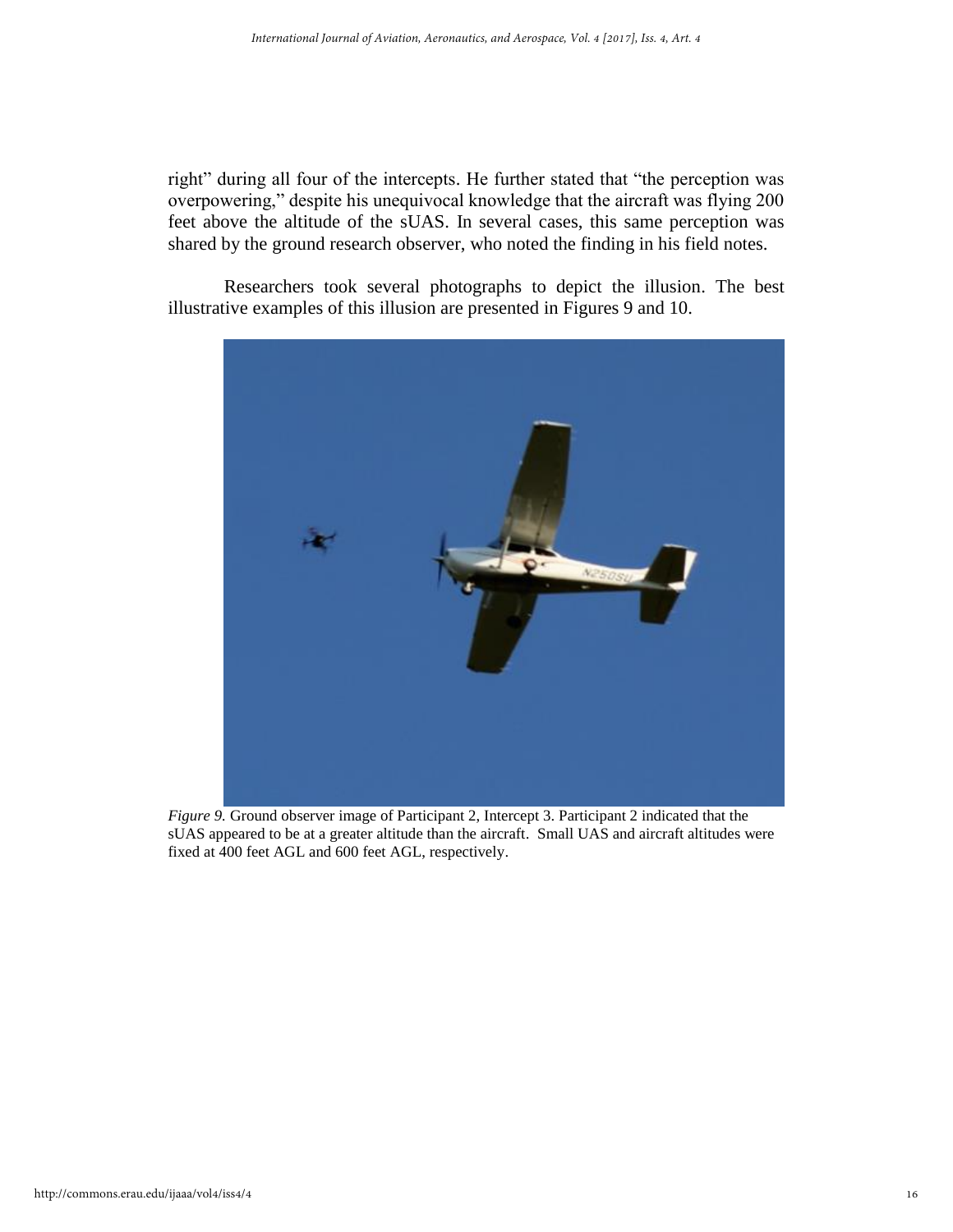right" during all four of the intercepts. He further stated that "the perception was overpowering," despite his unequivocal knowledge that the aircraft was flying 200 feet above the altitude of the sUAS. In several cases, this same perception was shared by the ground research observer, who noted the finding in his field notes.

Researchers took several photographs to depict the illusion. The best illustrative examples of this illusion are presented in Figures 9 and 10.



*Figure 9.* Ground observer image of Participant 2, Intercept 3. Participant 2 indicated that the sUAS appeared to be at a greater altitude than the aircraft. Small UAS and aircraft altitudes were fixed at 400 feet AGL and 600 feet AGL, respectively.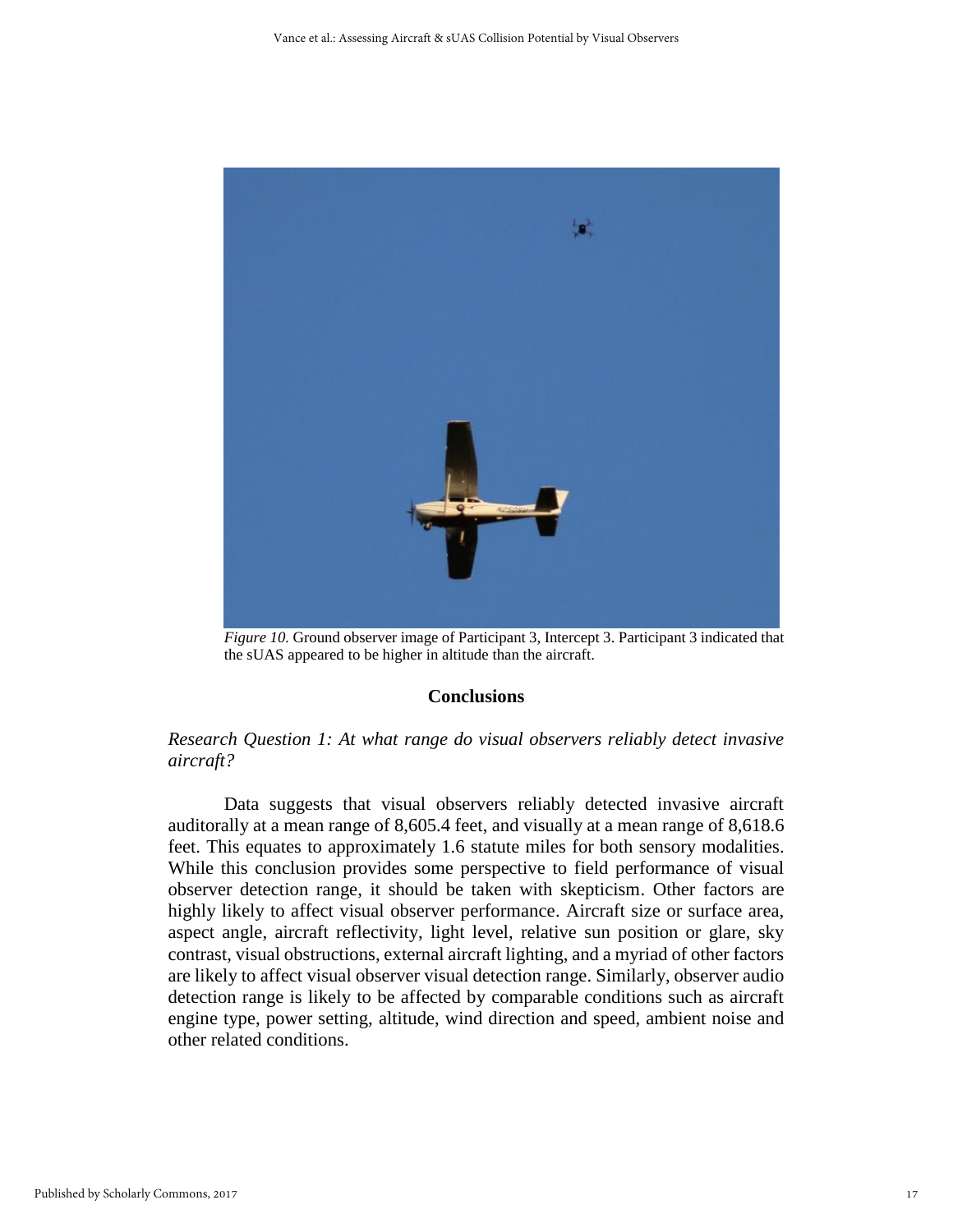

*Figure 10.* Ground observer image of Participant 3, Intercept 3. Participant 3 indicated that the sUAS appeared to be higher in altitude than the aircraft.

#### **Conclusions**

# *Research Question 1: At what range do visual observers reliably detect invasive aircraft?*

Data suggests that visual observers reliably detected invasive aircraft auditorally at a mean range of 8,605.4 feet, and visually at a mean range of 8,618.6 feet. This equates to approximately 1.6 statute miles for both sensory modalities. While this conclusion provides some perspective to field performance of visual observer detection range, it should be taken with skepticism. Other factors are highly likely to affect visual observer performance. Aircraft size or surface area, aspect angle, aircraft reflectivity, light level, relative sun position or glare, sky contrast, visual obstructions, external aircraft lighting, and a myriad of other factors are likely to affect visual observer visual detection range. Similarly, observer audio detection range is likely to be affected by comparable conditions such as aircraft engine type, power setting, altitude, wind direction and speed, ambient noise and other related conditions.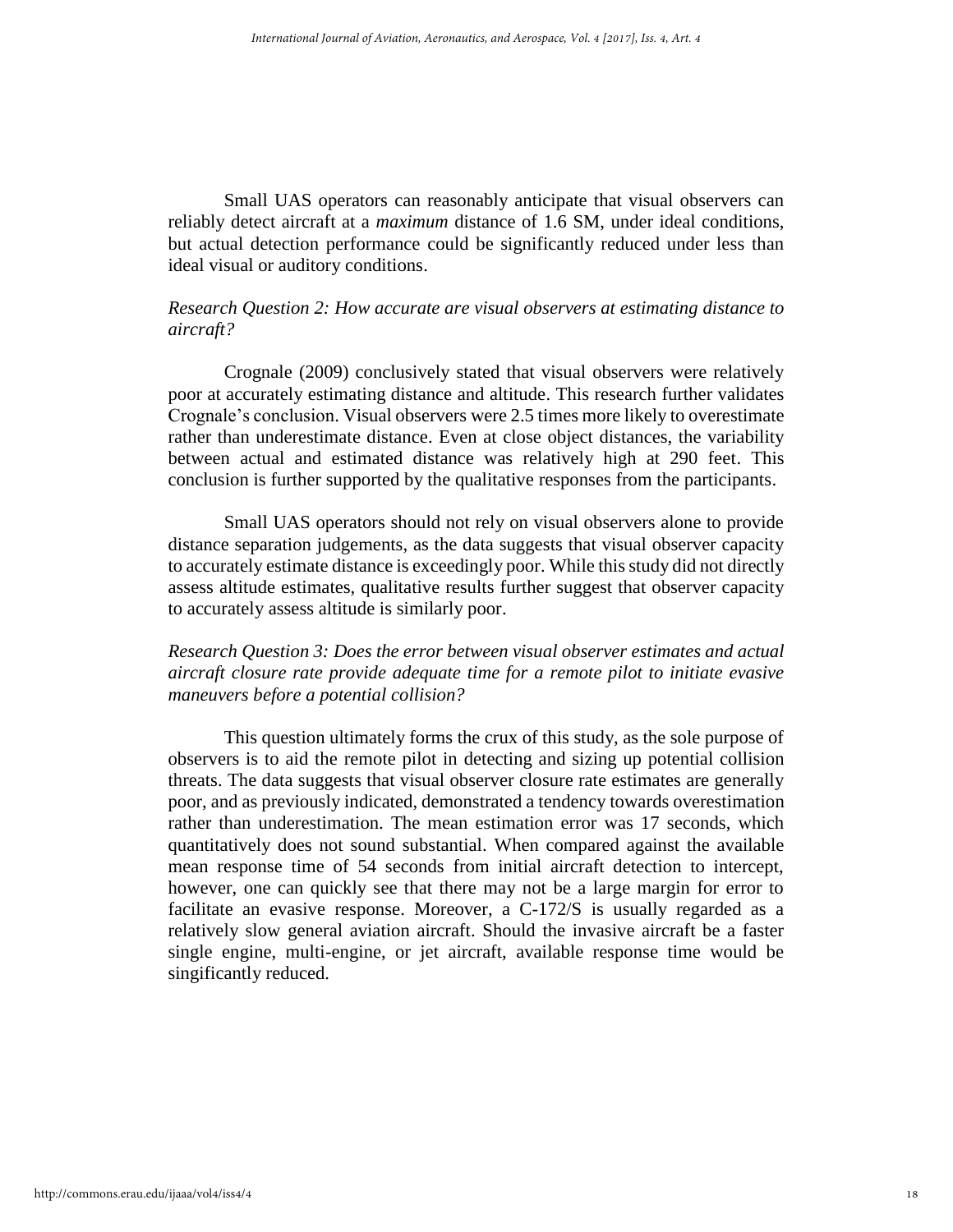Small UAS operators can reasonably anticipate that visual observers can reliably detect aircraft at a *maximum* distance of 1.6 SM, under ideal conditions, but actual detection performance could be significantly reduced under less than ideal visual or auditory conditions.

# *Research Question 2: How accurate are visual observers at estimating distance to aircraft?*

Crognale (2009) conclusively stated that visual observers were relatively poor at accurately estimating distance and altitude. This research further validates Crognale's conclusion. Visual observers were 2.5 times more likely to overestimate rather than underestimate distance. Even at close object distances, the variability between actual and estimated distance was relatively high at 290 feet. This conclusion is further supported by the qualitative responses from the participants.

Small UAS operators should not rely on visual observers alone to provide distance separation judgements, as the data suggests that visual observer capacity to accurately estimate distance is exceedingly poor. While this study did not directly assess altitude estimates, qualitative results further suggest that observer capacity to accurately assess altitude is similarly poor.

# *Research Question 3: Does the error between visual observer estimates and actual aircraft closure rate provide adequate time for a remote pilot to initiate evasive maneuvers before a potential collision?*

This question ultimately forms the crux of this study, as the sole purpose of observers is to aid the remote pilot in detecting and sizing up potential collision threats. The data suggests that visual observer closure rate estimates are generally poor, and as previously indicated, demonstrated a tendency towards overestimation rather than underestimation. The mean estimation error was 17 seconds, which quantitatively does not sound substantial. When compared against the available mean response time of 54 seconds from initial aircraft detection to intercept, however, one can quickly see that there may not be a large margin for error to facilitate an evasive response. Moreover, a C-172/S is usually regarded as a relatively slow general aviation aircraft. Should the invasive aircraft be a faster single engine, multi-engine, or jet aircraft, available response time would be singificantly reduced.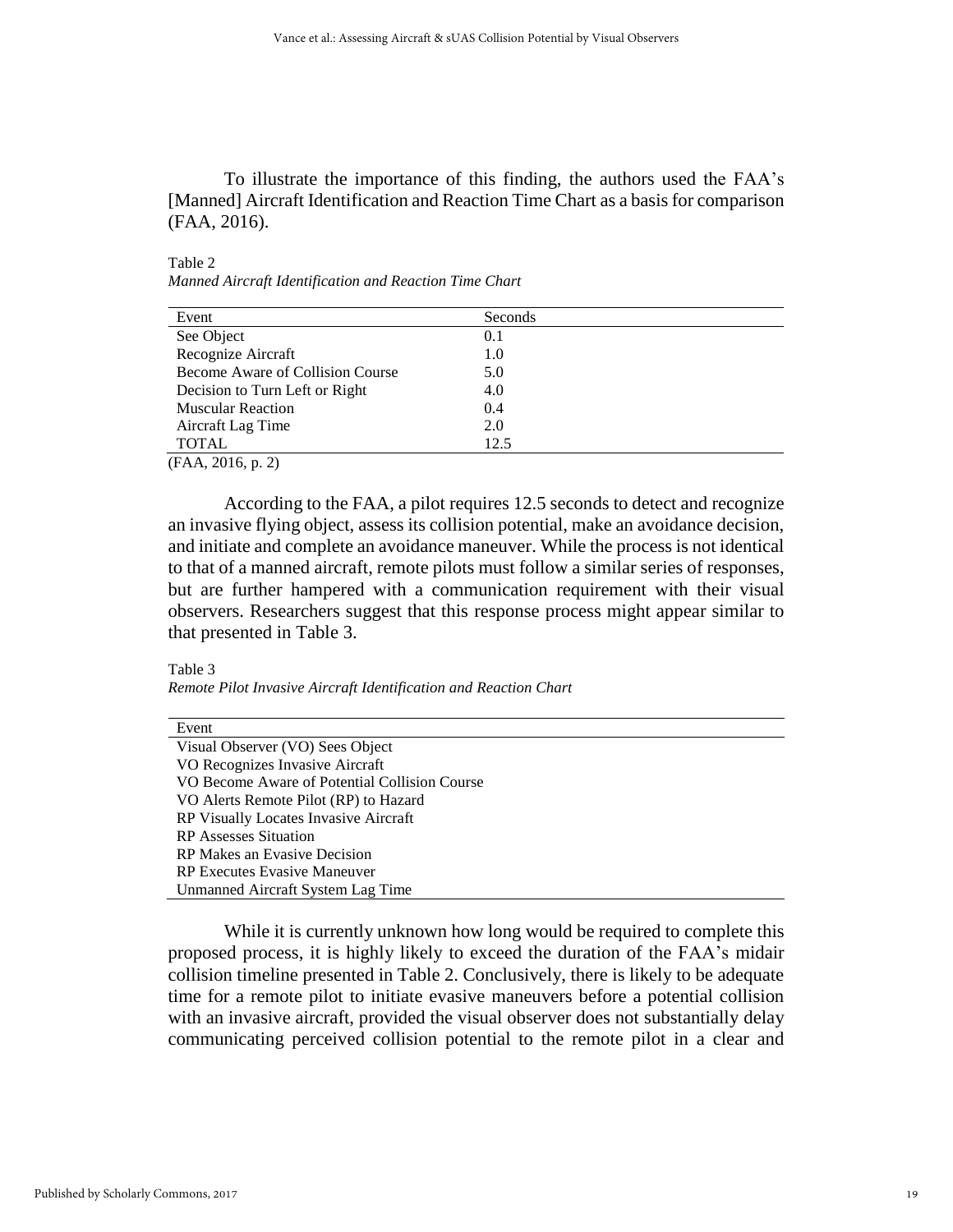To illustrate the importance of this finding, the authors used the FAA's [Manned] Aircraft Identification and Reaction Time Chart as a basis for comparison (FAA, 2016).

Table 2

*Manned Aircraft Identification and Reaction Time Chart*

| Event                            | Seconds |
|----------------------------------|---------|
| See Object                       | 0.1     |
| Recognize Aircraft               | 1.0     |
| Become Aware of Collision Course | 5.0     |
| Decision to Turn Left or Right   | 4.0     |
| <b>Muscular Reaction</b>         | 0.4     |
| Aircraft Lag Time                | 2.0     |
| <b>TOTAL</b>                     | 12.5    |

(FAA, 2016, p. 2)

According to the FAA, a pilot requires 12.5 seconds to detect and recognize an invasive flying object, assess its collision potential, make an avoidance decision, and initiate and complete an avoidance maneuver. While the process is not identical to that of a manned aircraft, remote pilots must follow a similar series of responses, but are further hampered with a communication requirement with their visual observers. Researchers suggest that this response process might appear similar to that presented in Table 3.

# Table 3

*Remote Pilot Invasive Aircraft Identification and Reaction Chart*

| Event                                         |  |
|-----------------------------------------------|--|
| Visual Observer (VO) Sees Object              |  |
| VO Recognizes Invasive Aircraft               |  |
| VO Become Aware of Potential Collision Course |  |
| VO Alerts Remote Pilot (RP) to Hazard         |  |
| RP Visually Locates Invasive Aircraft         |  |
| <b>RP</b> Assesses Situation                  |  |
| RP Makes an Evasive Decision                  |  |
| <b>RP Executes Evasive Maneuver</b>           |  |
| Unmanned Aircraft System Lag Time             |  |

While it is currently unknown how long would be required to complete this proposed process, it is highly likely to exceed the duration of the FAA's midair collision timeline presented in Table 2. Conclusively, there is likely to be adequate time for a remote pilot to initiate evasive maneuvers before a potential collision with an invasive aircraft, provided the visual observer does not substantially delay communicating perceived collision potential to the remote pilot in a clear and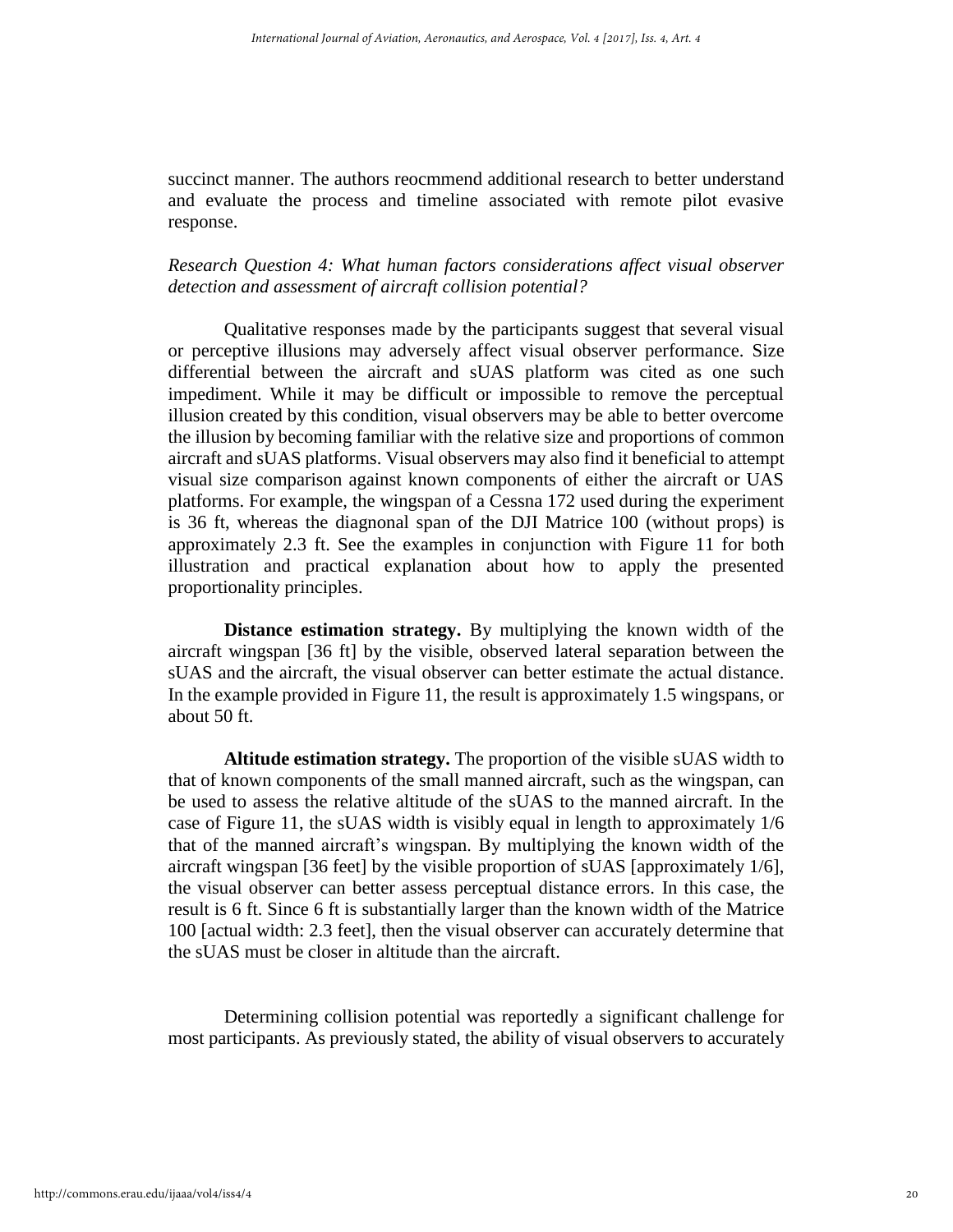succinct manner. The authors reocmmend additional research to better understand and evaluate the process and timeline associated with remote pilot evasive response.

# *Research Question 4: What human factors considerations affect visual observer detection and assessment of aircraft collision potential?*

Qualitative responses made by the participants suggest that several visual or perceptive illusions may adversely affect visual observer performance. Size differential between the aircraft and sUAS platform was cited as one such impediment. While it may be difficult or impossible to remove the perceptual illusion created by this condition, visual observers may be able to better overcome the illusion by becoming familiar with the relative size and proportions of common aircraft and sUAS platforms. Visual observers may also find it beneficial to attempt visual size comparison against known components of either the aircraft or UAS platforms. For example, the wingspan of a Cessna 172 used during the experiment is 36 ft, whereas the diagnonal span of the DJI Matrice 100 (without props) is approximately 2.3 ft. See the examples in conjunction with Figure 11 for both illustration and practical explanation about how to apply the presented proportionality principles.

**Distance estimation strategy.** By multiplying the known width of the aircraft wingspan [36 ft] by the visible, observed lateral separation between the sUAS and the aircraft, the visual observer can better estimate the actual distance. In the example provided in Figure 11, the result is approximately 1.5 wingspans, or about 50 ft.

**Altitude estimation strategy.** The proportion of the visible sUAS width to that of known components of the small manned aircraft, such as the wingspan, can be used to assess the relative altitude of the sUAS to the manned aircraft. In the case of Figure 11, the sUAS width is visibly equal in length to approximately 1/6 that of the manned aircraft's wingspan. By multiplying the known width of the aircraft wingspan [36 feet] by the visible proportion of sUAS [approximately 1/6], the visual observer can better assess perceptual distance errors. In this case, the result is 6 ft. Since 6 ft is substantially larger than the known width of the Matrice 100 [actual width: 2.3 feet], then the visual observer can accurately determine that the sUAS must be closer in altitude than the aircraft.

Determining collision potential was reportedly a significant challenge for most participants. As previously stated, the ability of visual observers to accurately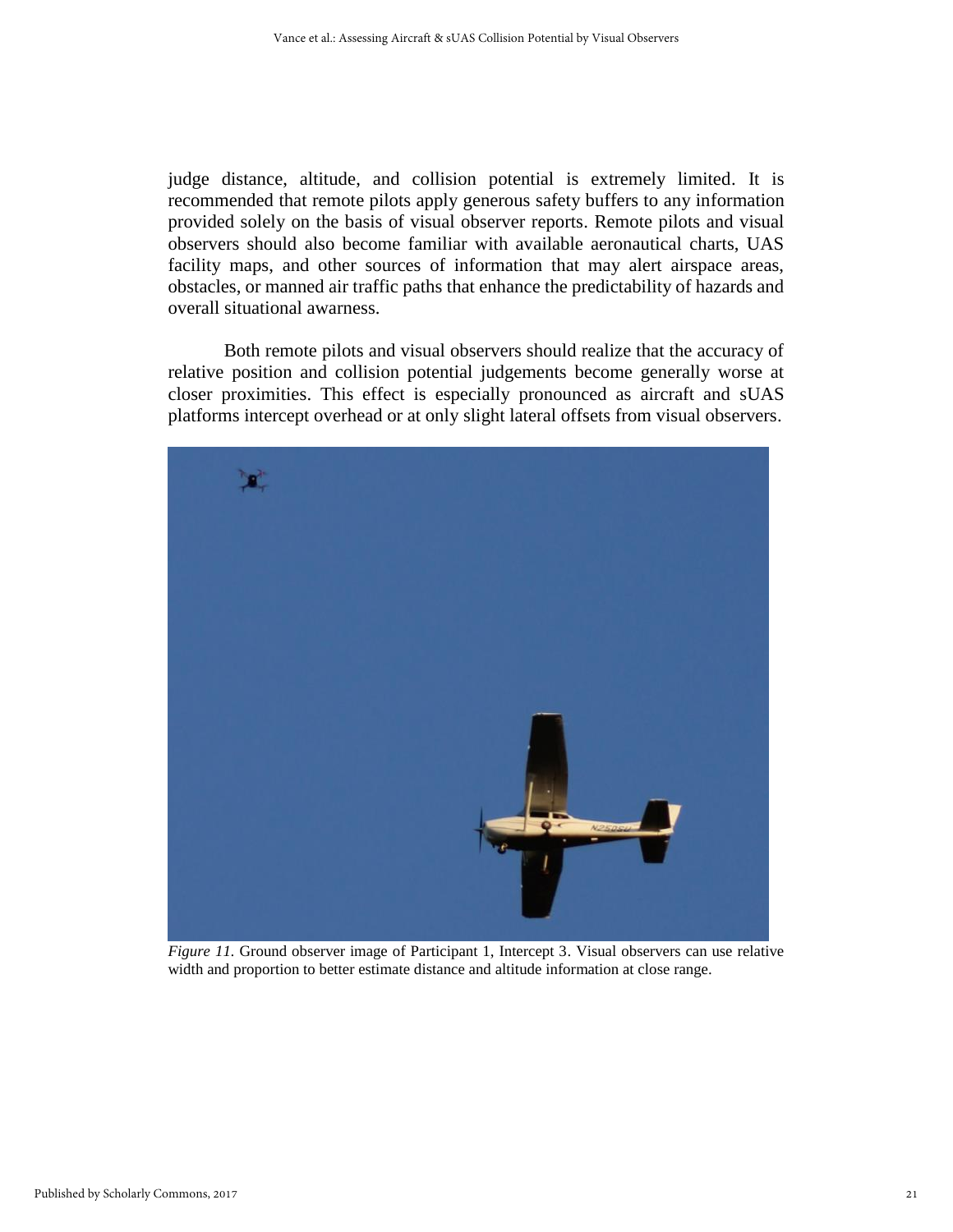judge distance, altitude, and collision potential is extremely limited. It is recommended that remote pilots apply generous safety buffers to any information provided solely on the basis of visual observer reports. Remote pilots and visual observers should also become familiar with available aeronautical charts, UAS facility maps, and other sources of information that may alert airspace areas, obstacles, or manned air traffic paths that enhance the predictability of hazards and overall situational awarness.

Both remote pilots and visual observers should realize that the accuracy of relative position and collision potential judgements become generally worse at closer proximities. This effect is especially pronounced as aircraft and sUAS platforms intercept overhead or at only slight lateral offsets from visual observers.



*Figure 11.* Ground observer image of Participant 1, Intercept 3. Visual observers can use relative width and proportion to better estimate distance and altitude information at close range.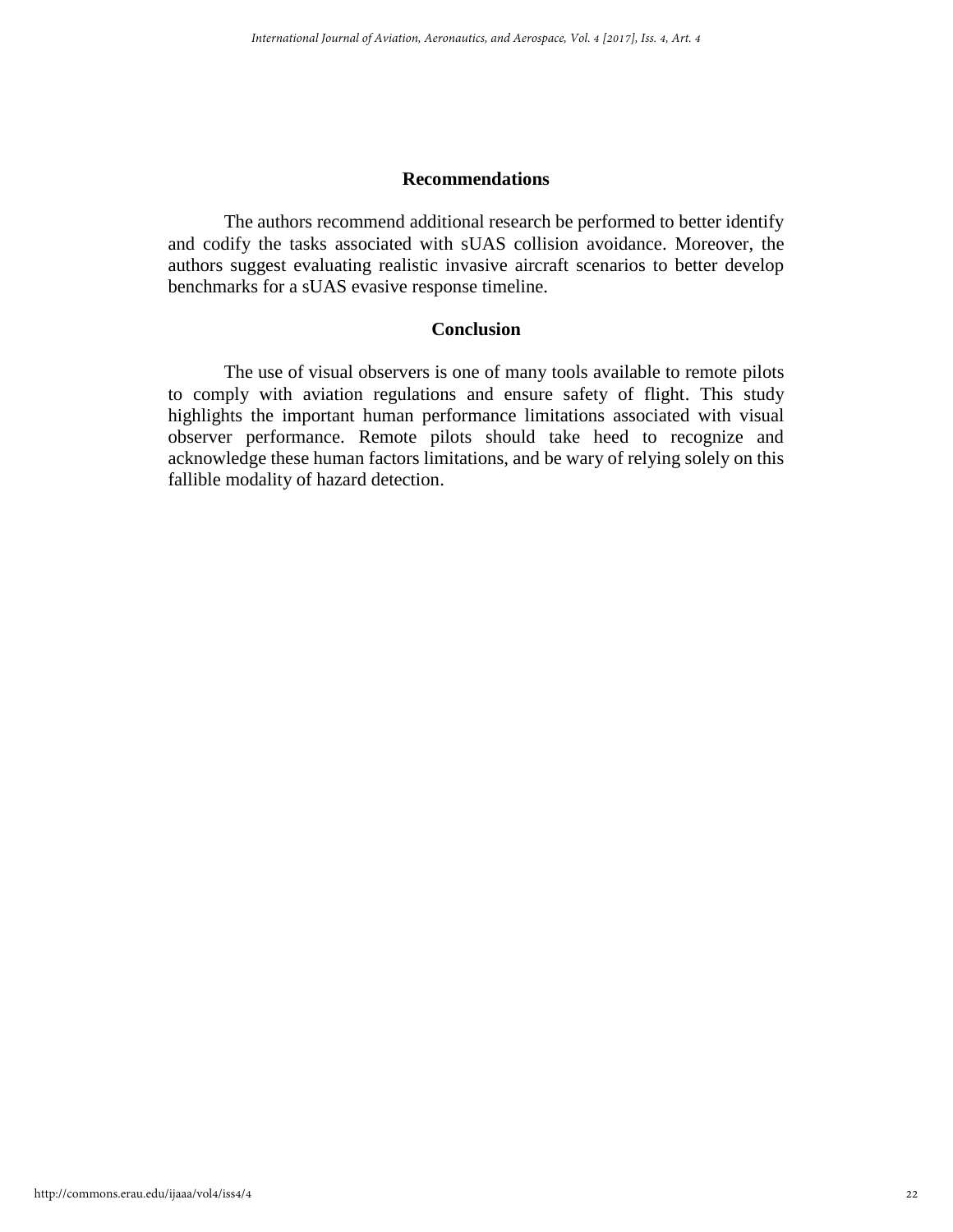# **Recommendations**

The authors recommend additional research be performed to better identify and codify the tasks associated with sUAS collision avoidance. Moreover, the authors suggest evaluating realistic invasive aircraft scenarios to better develop benchmarks for a sUAS evasive response timeline.

# **Conclusion**

The use of visual observers is one of many tools available to remote pilots to comply with aviation regulations and ensure safety of flight. This study highlights the important human performance limitations associated with visual observer performance. Remote pilots should take heed to recognize and acknowledge these human factors limitations, and be wary of relying solely on this fallible modality of hazard detection.